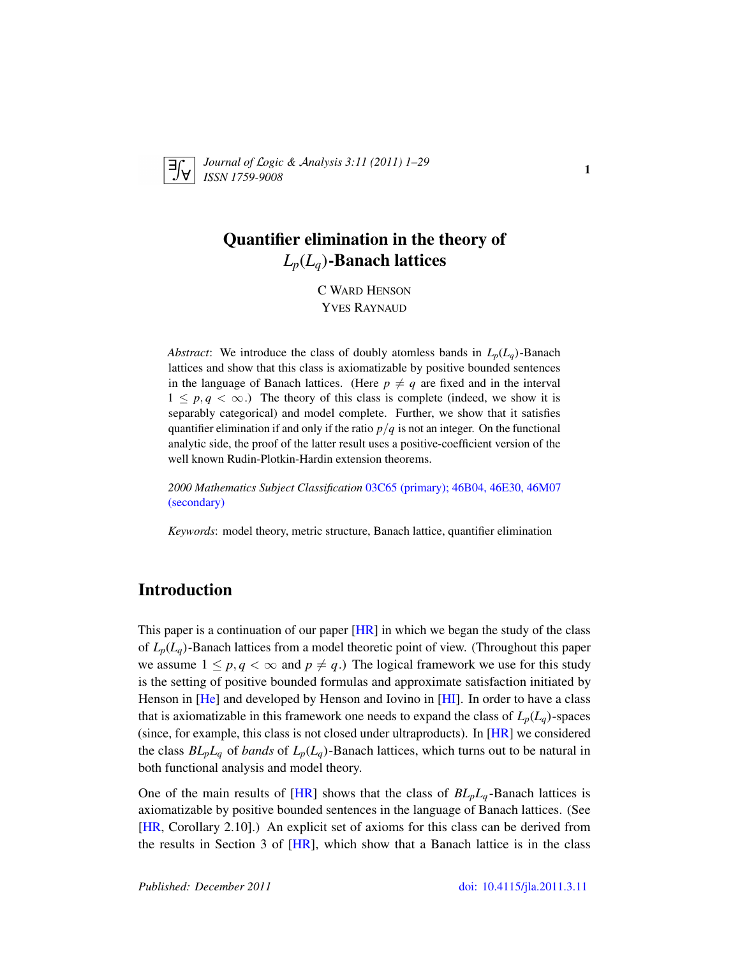

*Journal of* L*ogic &* A*nalysis 3:11 (2011) 1–29 ISSN 1759-9008* 1

# Quantifier elimination in the theory of *Lp*(*Lq*)-Banach lattices

C WARD HENSON YVES RAYNAUD

*Abstract*: We introduce the class of doubly atomless bands in  $L_p(L_q)$ -Banach lattices and show that this class is axiomatizable by positive bounded sentences in the language of Banach lattices. (Here  $p \neq q$  are fixed and in the interval  $1 \leq p, q < \infty$ .) The theory of this class is complete (indeed, we show it is separably categorical) and model complete. Further, we show that it satisfies quantifier elimination if and only if the ratio  $p/q$  is not an integer. On the functional analytic side, the proof of the latter result uses a positive-coefficient version of the well known Rudin-Plotkin-Hardin extension theorems.

*2000 Mathematics Subject Classification* [03C65 \(primary\); 46B04, 46E30, 46M07](http://www.ams.org/mathscinet/search/mscdoc.html?code=03C65,(46B04, 46E30, 46M07)) [\(secondary\)](http://www.ams.org/mathscinet/search/mscdoc.html?code=03C65,(46B04, 46E30, 46M07))

*Keywords*: model theory, metric structure, Banach lattice, quantifier elimination

## Introduction

This paper is a continuation of our paper  $[HR]$  in which we began the study of the class of *Lp*(*Lq*)-Banach lattices from a model theoretic point of view. (Throughout this paper we assume  $1 \leq p, q < \infty$  and  $p \neq q$ .) The logical framework we use for this study is the setting of positive bounded formulas and approximate satisfaction initiated by Henson in [\[He\]](#page-28-1) and developed by Henson and Iovino in [\[HI\]](#page-28-2). In order to have a class that is axiomatizable in this framework one needs to expand the class of  $L_p(L_q)$ -spaces (since, for example, this class is not closed under ultraproducts). In  $[HR]$  we considered the class  $BL_pL_q$  of *bands* of  $L_p(L_q)$ -Banach lattices, which turns out to be natural in both functional analysis and model theory.

One of the main results of  $[HR]$  shows that the class of  $BL_pL_q$ -Banach lattices is axiomatizable by positive bounded sentences in the language of Banach lattices. (See [\[HR,](#page-28-0) Corollary 2.10].) An explicit set of axioms for this class can be derived from the results in Section 3 of [\[HR\]](#page-28-0), which show that a Banach lattice is in the class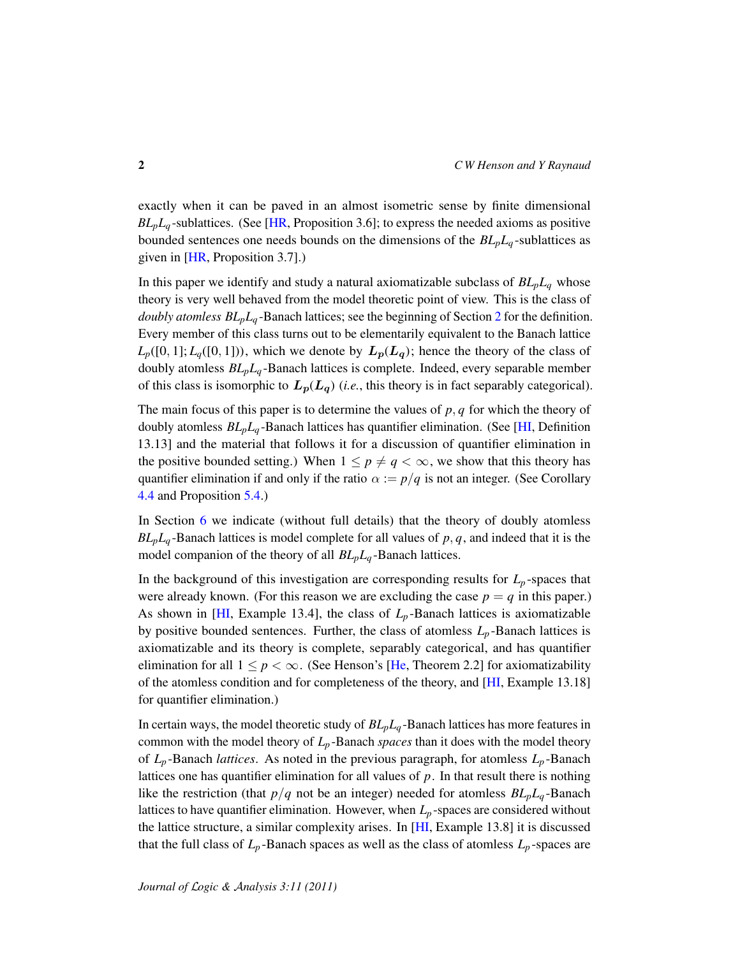exactly when it can be paved in an almost isometric sense by finite dimensional  $BL<sub>p</sub>L<sub>q</sub>$ -sublattices. (See [\[HR,](#page-28-0) Proposition 3.6]; to express the needed axioms as positive bounded sentences one needs bounds on the dimensions of the  $BL_pL_q$ -sublattices as given in [\[HR,](#page-28-0) Proposition 3.7].)

In this paper we identify and study a natural axiomatizable subclass of  $BL_pL_q$  whose theory is very well behaved from the model theoretic point of view. This is the class of *doubly atomless BLpL<sup>q</sup>* -Banach lattices; see the beginning of Section [2](#page-5-0) for the definition. Every member of this class turns out to be elementarily equivalent to the Banach lattice  $L_p([0, 1]; L_q([0, 1]))$ , which we denote by  $L_p(L_q)$ ; hence the theory of the class of doubly atomless *BLpL<sup>q</sup>* -Banach lattices is complete. Indeed, every separable member of this class is isomorphic to  $L_p(L_q)$  (*i.e.*, this theory is in fact separably categorical).

The main focus of this paper is to determine the values of *p*, *q* for which the theory of doubly atomless *BLpL<sup>q</sup>* -Banach lattices has quantifier elimination. (See [\[HI,](#page-28-2) Definition 13.13] and the material that follows it for a discussion of quantifier elimination in the positive bounded setting.) When  $1 \leq p \neq q < \infty$ , we show that this theory has quantifier elimination if and only if the ratio  $\alpha := p/q$  is not an integer. (See Corollary [4.4](#page-20-0) and Proposition [5.4.](#page-24-0))

In Section [6](#page-25-0) we indicate (without full details) that the theory of doubly atomless  $BL_pL_q$ -Banach lattices is model complete for all values of  $p, q$ , and indeed that it is the model companion of the theory of all *BLpL<sup>q</sup>* -Banach lattices.

In the background of this investigation are corresponding results for  $L_p$ -spaces that were already known. (For this reason we are excluding the case  $p = q$  in this paper.) As shown in [\[HI,](#page-28-2) Example 13.4], the class of  $L_p$ -Banach lattices is axiomatizable by positive bounded sentences. Further, the class of atomless  $L_p$ -Banach lattices is axiomatizable and its theory is complete, separably categorical, and has quantifier elimination for all  $1 \leq p < \infty$ . (See Henson's [\[He,](#page-28-1) Theorem 2.2] for axiomatizability of the atomless condition and for completeness of the theory, and [\[HI,](#page-28-2) Example 13.18] for quantifier elimination.)

In certain ways, the model theoretic study of *BLpL<sup>q</sup>* -Banach lattices has more features in common with the model theory of  $L_p$ -Banach *spaces* than it does with the model theory of  $L_p$ -Banach *lattices*. As noted in the previous paragraph, for atomless  $L_p$ -Banach lattices one has quantifier elimination for all values of *p*. In that result there is nothing like the restriction (that  $p/q$  not be an integer) needed for atomless  $BL_pL_q$ -Banach lattices to have quantifier elimination. However, when *L<sup>p</sup>* -spaces are considered without the lattice structure, a similar complexity arises. In [\[HI,](#page-28-2) Example 13.8] it is discussed that the full class of  $L_p$ -Banach spaces as well as the class of atomless  $L_p$ -spaces are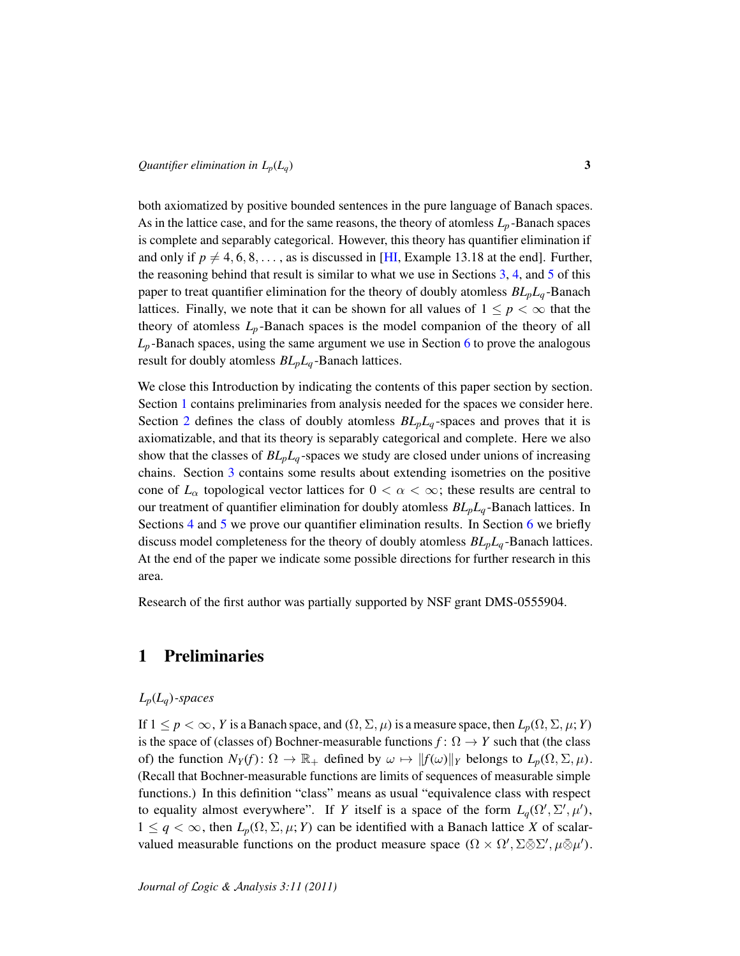both axiomatized by positive bounded sentences in the pure language of Banach spaces. As in the lattice case, and for the same reasons, the theory of atomless  $L_p$ -Banach spaces is complete and separably categorical. However, this theory has quantifier elimination if and only if  $p \neq 4, 6, 8, \ldots$ , as is discussed in [\[HI,](#page-28-2) Example 13.18 at the end]. Further, the reasoning behind that result is similar to what we use in Sections [3,](#page-13-0) [4,](#page-16-0) and [5](#page-20-1) of this paper to treat quantifier elimination for the theory of doubly atomless *BLpL<sup>q</sup>* -Banach lattices. Finally, we note that it can be shown for all values of  $1 \leq p < \infty$  that the theory of atomless  $L_p$ -Banach spaces is the model companion of the theory of all  $L_p$ -Banach spaces, using the same argument we use in Section [6](#page-25-0) to prove the analogous result for doubly atomless *BLpL<sup>q</sup>* -Banach lattices.

We close this Introduction by indicating the contents of this paper section by section. Section [1](#page-2-0) contains preliminaries from analysis needed for the spaces we consider here. Section [2](#page-5-0) defines the class of doubly atomless  $BL_pL_q$ -spaces and proves that it is axiomatizable, and that its theory is separably categorical and complete. Here we also show that the classes of  $BL_pL_q$ -spaces we study are closed under unions of increasing chains. Section [3](#page-13-0) contains some results about extending isometries on the positive cone of  $L_{\alpha}$  topological vector lattices for  $0 < \alpha < \infty$ ; these results are central to our treatment of quantifier elimination for doubly atomless *BLpL<sup>q</sup>* -Banach lattices. In Sections [4](#page-16-0) and [5](#page-20-1) we prove our quantifier elimination results. In Section [6](#page-25-0) we briefly discuss model completeness for the theory of doubly atomless *BLpL<sup>q</sup>* -Banach lattices. At the end of the paper we indicate some possible directions for further research in this area.

Research of the first author was partially supported by NSF grant DMS-0555904.

### <span id="page-2-0"></span>1 Preliminaries

### *Lp*(*Lq*)*-spaces*

If  $1 \leq p < \infty$ , *Y* is a Banach space, and  $(\Omega, \Sigma, \mu)$  is a measure space, then  $L_p(\Omega, \Sigma, \mu; Y)$ is the space of (classes of) Bochner-measurable functions  $f: \Omega \to Y$  such that (the class of) the function  $N_Y(f)$ :  $\Omega \to \mathbb{R}_+$  defined by  $\omega \mapsto ||f(\omega)||_Y$  belongs to  $L_p(\Omega, \Sigma, \mu)$ . (Recall that Bochner-measurable functions are limits of sequences of measurable simple functions.) In this definition "class" means as usual "equivalence class with respect to equality almost everywhere". If *Y* itself is a space of the form  $L_q(\Omega', \Sigma', \mu')$ ,  $1 \leq q < \infty$ , then  $L_p(\Omega, \Sigma, \mu; Y)$  can be identified with a Banach lattice X of scalarvalued measurable functions on the product measure space  $(\Omega \times \Omega', \Sigma \bar{\otimes} \Sigma', \mu \bar{\otimes} \mu').$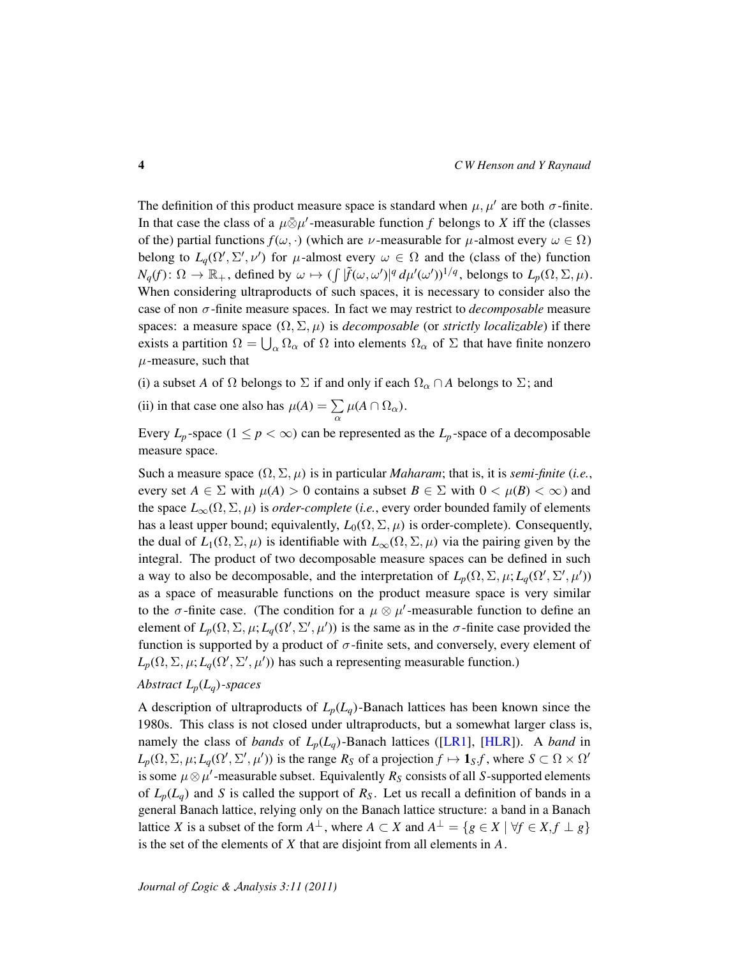The definition of this product measure space is standard when  $\mu$ ,  $\mu'$  are both  $\sigma$ -finite. In that case the class of a  $\mu \bar{\otimes} \mu'$ -measurable function *f* belongs to *X* iff the (classes of the) partial functions  $f(\omega, \cdot)$  (which are  $\nu$ -measurable for  $\mu$ -almost every  $\omega \in \Omega$ ) belong to  $L_q(\Omega', \Sigma', \nu')$  for  $\mu$ -almost every  $\omega \in \Omega$  and the (class of the) function  $N_q(f)$ :  $\Omega \to \mathbb{R}_+$ , defined by  $\omega \mapsto (\int |\tilde{f}(\omega, \omega')|^q d\mu'(\omega'))^{1/q}$ , belongs to  $L_p(\Omega, \Sigma, \mu)$ . When considering ultraproducts of such spaces, it is necessary to consider also the case of non σ-finite measure spaces. In fact we may restrict to *decomposable* measure spaces: a measure space  $(\Omega, \Sigma, \mu)$  is *decomposable* (or *strictly localizable*) if there exists a partition  $\Omega = \bigcup_{\alpha} \Omega_{\alpha}$  of  $\Omega$  into elements  $\Omega_{\alpha}$  of  $\Sigma$  that have finite nonzero  $\mu$ -measure, such that

(i) a subset *A* of  $\Omega$  belongs to  $\Sigma$  if and only if each  $\Omega_{\alpha} \cap A$  belongs to  $\Sigma$ ; and

(ii) in that case one also has  $\mu(A) = \sum$  $\sum_{\alpha} \mu(A \cap \Omega_{\alpha}).$ 

Every  $L_p$ -space  $(1 \le p < \infty)$  can be represented as the  $L_p$ -space of a decomposable measure space.

Such a measure space  $(\Omega, \Sigma, \mu)$  is in particular *Maharam*; that is, it is *semi-finite* (*i.e.*, every set  $A \in \Sigma$  with  $\mu(A) > 0$  contains a subset  $B \in \Sigma$  with  $0 < \mu(B) < \infty$ ) and the space  $L_{\infty}(\Omega, \Sigma, \mu)$  is *order-complete* (*i.e.*, every order bounded family of elements has a least upper bound; equivalently,  $L_0(\Omega, \Sigma, \mu)$  is order-complete). Consequently, the dual of  $L_1(\Omega, \Sigma, \mu)$  is identifiable with  $L_{\infty}(\Omega, \Sigma, \mu)$  via the pairing given by the integral. The product of two decomposable measure spaces can be defined in such a way to also be decomposable, and the interpretation of  $L_p(\Omega, \Sigma, \mu; L_q(\Omega', \Sigma', \mu'))$ as a space of measurable functions on the product measure space is very similar to the  $\sigma$ -finite case. (The condition for a  $\mu \otimes \mu'$ -measurable function to define an element of  $L_p(\Omega, \Sigma, \mu; L_q(\Omega', \Sigma', \mu'))$  is the same as in the  $\sigma$ -finite case provided the function is supported by a product of  $\sigma$ -finite sets, and conversely, every element of  $L_p(\Omega, \Sigma, \mu; L_q(\Omega', \Sigma', \mu'))$  has such a representing measurable function.)

### *Abstract Lp*(*Lq*)*-spaces*

A description of ultraproducts of  $L_p(L_q)$ -Banach lattices has been known since the 1980s. This class is not closed under ultraproducts, but a somewhat larger class is, namely the class of *bands* of  $L_p(L_q)$ -Banach lattices ([\[LR1\]](#page-28-3), [\[HLR\]](#page-27-0)). A *band* in  $L_p(\Omega, \Sigma, \mu; L_q(\Omega', \Sigma', \mu'))$  is the range  $R_S$  of a projection  $f \mapsto \mathbf{1}_S f$ , where  $S \subset \Omega \times \Omega'$ is some  $\mu \otimes \mu'$ -measurable subset. Equivalently  $R_S$  consists of all *S*-supported elements of  $L_p(L_q)$  and *S* is called the support of  $R_S$ . Let us recall a definition of bands in a general Banach lattice, relying only on the Banach lattice structure: a band in a Banach lattice *X* is a subset of the form  $A^{\perp}$ , where  $A \subset X$  and  $A^{\perp} = \{ g \in X \mid \forall f \in X, f \perp g \}$ is the set of the elements of *X* that are disjoint from all elements in *A*.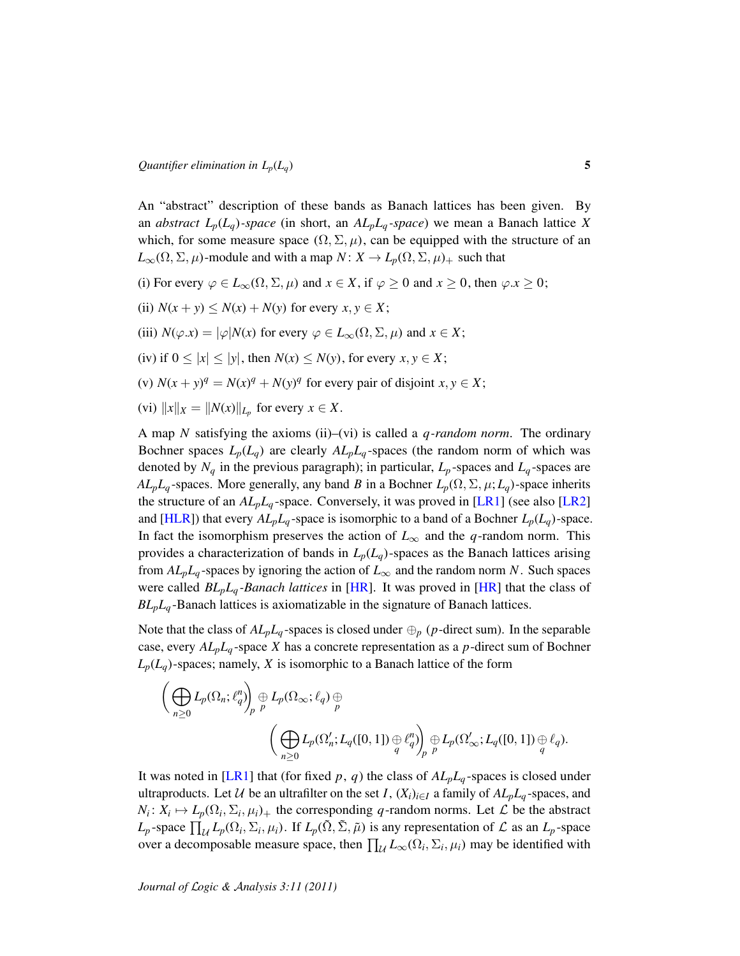An "abstract" description of these bands as Banach lattices has been given. By an *abstract*  $L_p(L_q)$ *-space* (in short, an  $AL_pL_q$ *-space*) we mean a Banach lattice X which, for some measure space  $(\Omega, \Sigma, \mu)$ , can be equipped with the structure of an  $L_{\infty}(\Omega, \Sigma, \mu)$ -module and with a map  $N: X \to L_p(\Omega, \Sigma, \mu)$  such that

- (i) For every  $\varphi \in L_{\infty}(\Omega, \Sigma, \mu)$  and  $x \in X$ , if  $\varphi > 0$  and  $x > 0$ , then  $\varphi \cdot x > 0$ ;
- (ii)  $N(x + y) \leq N(x) + N(y)$  for every  $x, y \in X$ ;
- (iii)  $N(\varphi.x) = |\varphi| N(x)$  for every  $\varphi \in L_{\infty}(\Omega, \Sigma, \mu)$  and  $x \in X$ ;
- (iv) if  $0 \le |x| \le |y|$ , then  $N(x) \le N(y)$ , for every  $x, y \in X$ ;
- (v)  $N(x + y)^q = N(x)^q + N(y)^q$  for every pair of disjoint  $x, y \in X$ ;
- $(xi)$   $||x||_X = ||N(x)||_{L_p}$  for every  $x \in X$ .

A map *N* satisfying the axioms (ii)–(vi) is called a *q-random norm*. The ordinary Bochner spaces  $L_p(L_q)$  are clearly  $AL_pL_q$ -spaces (the random norm of which was denoted by  $N_q$  in the previous paragraph); in particular,  $L_p$ -spaces and  $L_q$ -spaces are *AL<sub>p</sub>L<sub>q</sub>* -spaces. More generally, any band *B* in a Bochner  $L_p(\Omega, \Sigma, \mu; L_q)$ -space inherits the structure of an  $AL_pL_q$ -space. Conversely, it was proved in [\[LR1\]](#page-28-3) (see also [\[LR2\]](#page-28-4) and [\[HLR\]](#page-27-0)) that every  $AL_pL_q$ -space is isomorphic to a band of a Bochner  $L_p(L_q)$ -space. In fact the isomorphism preserves the action of  $L_{\infty}$  and the *q*-random norm. This provides a characterization of bands in  $L_p(L_q)$ -spaces as the Banach lattices arising from  $AL_pL_q$ -spaces by ignoring the action of  $L_\infty$  and the random norm *N*. Such spaces were called *BLpL<sup>q</sup> -Banach lattices* in [\[HR\]](#page-28-0). It was proved in [\[HR\]](#page-28-0) that the class of *BLpL<sup>q</sup>* -Banach lattices is axiomatizable in the signature of Banach lattices.

Note that the class of  $AL_pL_q$ -spaces is closed under  $\bigoplus_p$  (*p*-direct sum). In the separable case, every  $AL_pL_q$ -space *X* has a concrete representation as a *p*-direct sum of Bochner  $L_p(L_q)$ -spaces; namely, *X* is isomorphic to a Banach lattice of the form

$$
\left(\bigoplus_{n\geq 0} L_p(\Omega_n; \ell_q^n)\right)_p \oplus L_p(\Omega_\infty; \ell_q) \oplus \left(\bigoplus_{n\geq 0} L_p(\Omega'_n; L_q([0, 1]) \oplus \ell_q^n)\right)_p \oplus L_p(\Omega'_\infty; L_q([0, 1]) \oplus \ell_q).
$$

It was noted in [\[LR1\]](#page-28-3) that (for fixed  $p$ ,  $q$ ) the class of  $AL_pL_q$ -spaces is closed under ultraproducts. Let  $U$  be an ultrafilter on the set *I*,  $(X_i)_{i \in I}$  a family of  $AL_pL_q$ -spaces, and  $N_i: X_i \mapsto L_p(\Omega_i, \Sigma_i, \mu_i)$  the corresponding *q*-random norms. Let *L* be the abstract  $L_p$ -space  $\prod_{\mathcal{U}} L_p(\Omega_i, \Sigma_i, \mu_i)$ . If  $L_p(\tilde{\Omega}, \tilde{\Sigma}, \tilde{\mu})$  is any representation of  $\mathcal L$  as an  $L_p$ -space over a decomposable measure space, then  $\prod_{\mathcal{U}} L_{\infty}(\Omega_i, \Sigma_i, \mu_i)$  may be identified with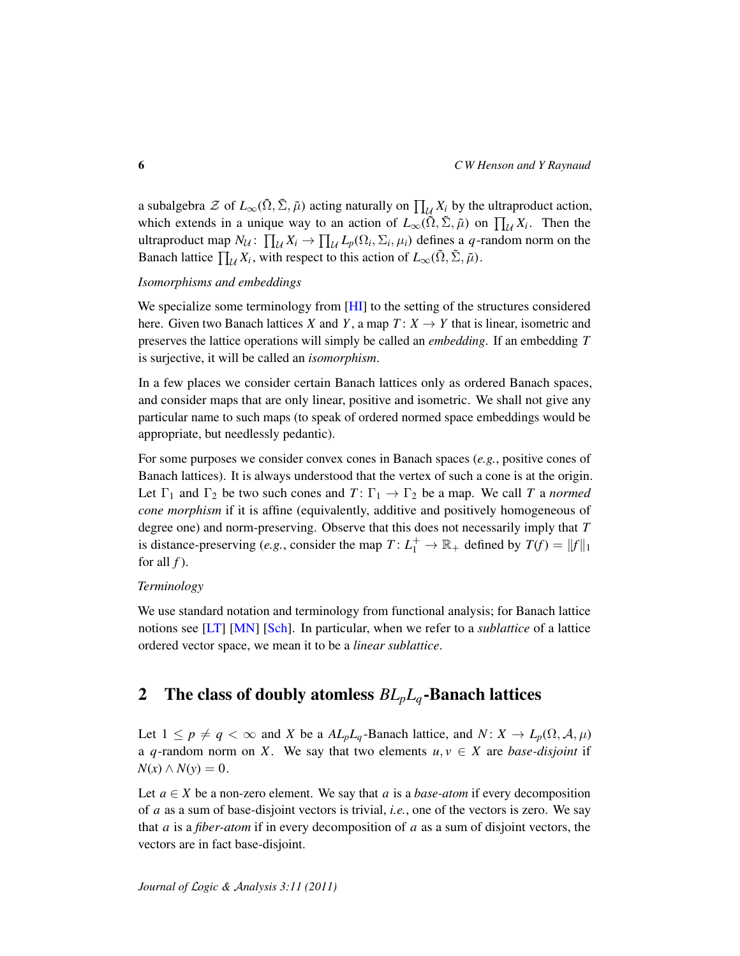a subalgebra  $\mathcal Z$  of  $L_\infty(\tilde{\Omega}, \tilde{\Sigma}, \tilde{\mu})$  acting naturally on  $\prod_{\mathcal U} X_i$  by the ultraproduct action, which extends in a unique way to an action of  $L_{\infty}(\tilde{\Omega}, \tilde{\Sigma}, \tilde{\mu})$  on  $\prod_{\mathcal{U}} X_i$ . Then the ultraproduct map  $N_{\mathcal{U}}$ :  $\prod_{\mathcal{U}} X_i \to \prod_{\mathcal{U}} L_p(\Omega_i, \Sigma_i, \mu_i)$  defines a *q*-random norm on the Banach lattice  $\prod_{\mathcal{U}} X_i$ , with respect to this action of  $L_{\infty}(\tilde{\Omega}, \tilde{\Sigma}, \tilde{\mu})$ .

#### *Isomorphisms and embeddings*

We specialize some terminology from [\[HI\]](#page-28-2) to the setting of the structures considered here. Given two Banach lattices *X* and *Y*, a map  $T: X \rightarrow Y$  that is linear, isometric and preserves the lattice operations will simply be called an *embedding*. If an embedding *T* is surjective, it will be called an *isomorphism*.

In a few places we consider certain Banach lattices only as ordered Banach spaces, and consider maps that are only linear, positive and isometric. We shall not give any particular name to such maps (to speak of ordered normed space embeddings would be appropriate, but needlessly pedantic).

For some purposes we consider convex cones in Banach spaces (*e.g.*, positive cones of Banach lattices). It is always understood that the vertex of such a cone is at the origin. Let  $\Gamma_1$  and  $\Gamma_2$  be two such cones and  $T: \Gamma_1 \to \Gamma_2$  be a map. We call *T* a *normed cone morphism* if it is affine (equivalently, additive and positively homogeneous of degree one) and norm-preserving. Observe that this does not necessarily imply that *T* is distance-preserving (*e.g.*, consider the map  $T: L_1^+ \to \mathbb{R}_+$  defined by  $T(f) = ||f||_1$ for all  $f$ ).

#### *Terminology*

We use standard notation and terminology from functional analysis; for Banach lattice notions see [\[LT\]](#page-28-5) [\[MN\]](#page-28-6) [\[Sch\]](#page-28-7). In particular, when we refer to a *sublattice* of a lattice ordered vector space, we mean it to be a *linear sublattice*.

## <span id="page-5-0"></span>2 The class of doubly atomless *BLpL<sup>q</sup>* -Banach lattices

Let  $1 \leq p \neq q < \infty$  and *X* be a  $AL_pL_q$ -Banach lattice, and  $N: X \to L_p(\Omega, \mathcal{A}, \mu)$ a *q*-random norm on *X*. We say that two elements  $u, v \in X$  are *base-disjoint* if *N*(*x*) ∧ *N*(*y*) = 0.

Let  $a \in X$  be a non-zero element. We say that a is a *base-atom* if every decomposition of *a* as a sum of base-disjoint vectors is trivial, *i.e.*, one of the vectors is zero. We say that *a* is a *fiber-atom* if in every decomposition of *a* as a sum of disjoint vectors, the vectors are in fact base-disjoint.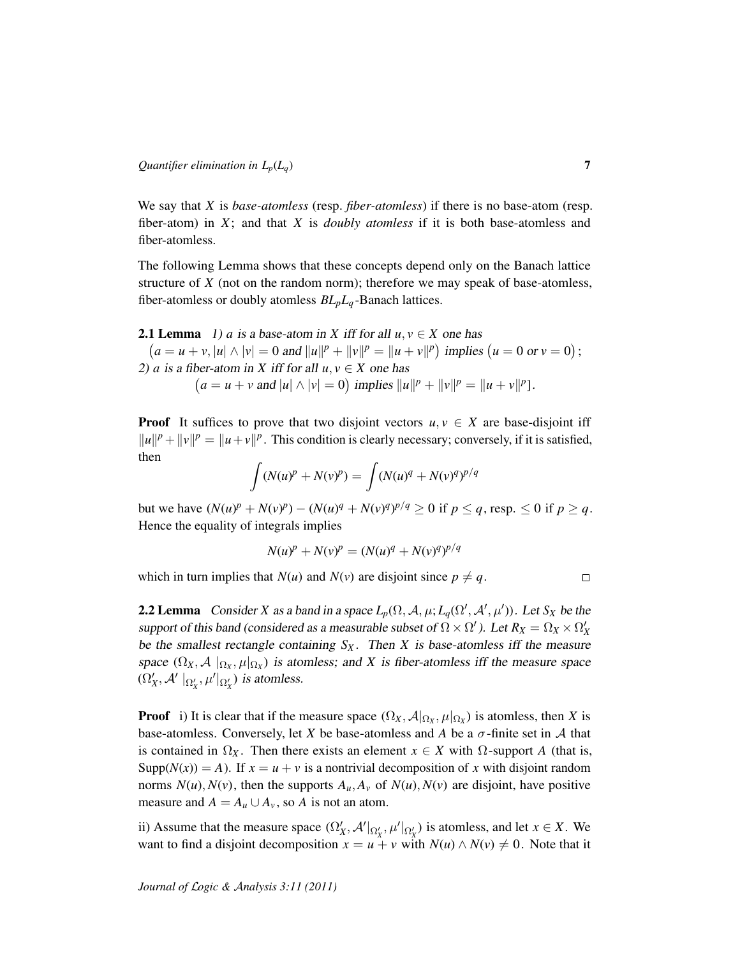We say that *X* is *base-atomless* (resp. *fiber-atomless*) if there is no base-atom (resp. fiber-atom) in *X*; and that *X* is *doubly atomless* if it is both base-atomless and fiber-atomless.

The following Lemma shows that these concepts depend only on the Banach lattice structure of *X* (not on the random norm); therefore we may speak of base-atomless, fiber-atomless or doubly atomless *BLpL<sup>q</sup>* -Banach lattices.

<span id="page-6-0"></span>**2.1 Lemma** 1) *a* is a base-atom in *X* iff for all  $u, v \in X$  one has  $(a = u + v, |u| \wedge |v| = 0$  and  $||u||^p + ||v||^p = ||u + v||^p$  implies  $(u = 0 \text{ or } v = 0);$ 2) *a* is a fiber-atom in *X* iff for all  $u, v \in X$  one has  $(a = u + v \text{ and } |u| \wedge |v| = 0) \text{ implies } ||u||^p + ||v||^p = ||u + v||^p$ .

**Proof** It suffices to prove that two disjoint vectors  $u, v \in X$  are base-disjoint iff  $||u||^p + ||v||^p = ||u + v||^p$ . This condition is clearly necessary; conversely, if it is satisfied, then

$$
\int (N(u)^p + N(v)^p) = \int (N(u)^q + N(v)^q)^{p/q}
$$

but we have  $(N(u)^p + N(v)^p) - (N(u)^q + N(v)^q)^{p/q} \ge 0$  if  $p \le q$ , resp.  $\le 0$  if  $p \ge q$ . Hence the equality of integrals implies

$$
N(u)^p + N(v)^p = (N(u)^q + N(v)^q)^{p/q}
$$

which in turn implies that *N*(*u*) and *N*(*v*) are disjoint since  $p \neq q$ .

 $\Box$ 

**2.2 Lemma** Consider *X* as a band in a space  $L_p(\Omega, \mathcal{A}, \mu; L_q(\Omega', \mathcal{A}', \mu'))$ . Let  $S_X$  be the support of this band (considered as a measurable subset of  $\Omega \times \Omega'$ ). Let  $R_X = \Omega_X \times \Omega'_X$ be the smallest rectangle containing  $S_X$ . Then *X* is base-atomless iff the measure space  $(\Omega_X, \mathcal{A} \mid_{\Omega_X}, \mu|_{\Omega_X})$  is atomless; and *X* is fiber-atomless iff the measure space  $(\Omega'_X, \mathcal{A}'\mid_{\Omega'_X}, \mu'\mid_{\Omega'_X})$  is atomless.

**Proof** i) It is clear that if the measure space  $(\Omega_X, \mathcal{A}|_{\Omega_X}, \mu|_{\Omega_X})$  is atomless, then *X* is base-atomless. Conversely, let *X* be base-atomless and *A* be a  $\sigma$ -finite set in *A* that is contained in  $\Omega_X$ . Then there exists an element  $x \in X$  with  $\Omega$ -support *A* (that is, Supp( $N(x)$ ) = A). If  $x = u + v$  is a nontrivial decomposition of x with disjoint random norms  $N(u)$ ,  $N(v)$ , then the supports  $A_u$ ,  $A_v$  of  $N(u)$ ,  $N(v)$  are disjoint, have positive measure and  $A = A_u \cup A_v$ , so *A* is not an atom.

ii) Assume that the measure space  $(\Omega'_X, \mathcal{A}'|_{\Omega'_X}, \mu'|_{\Omega'_X})$  is atomless, and let  $x \in X$ . We want to find a disjoint decomposition  $x = u + v$  with  $N(u) \wedge N(v) \neq 0$ . Note that it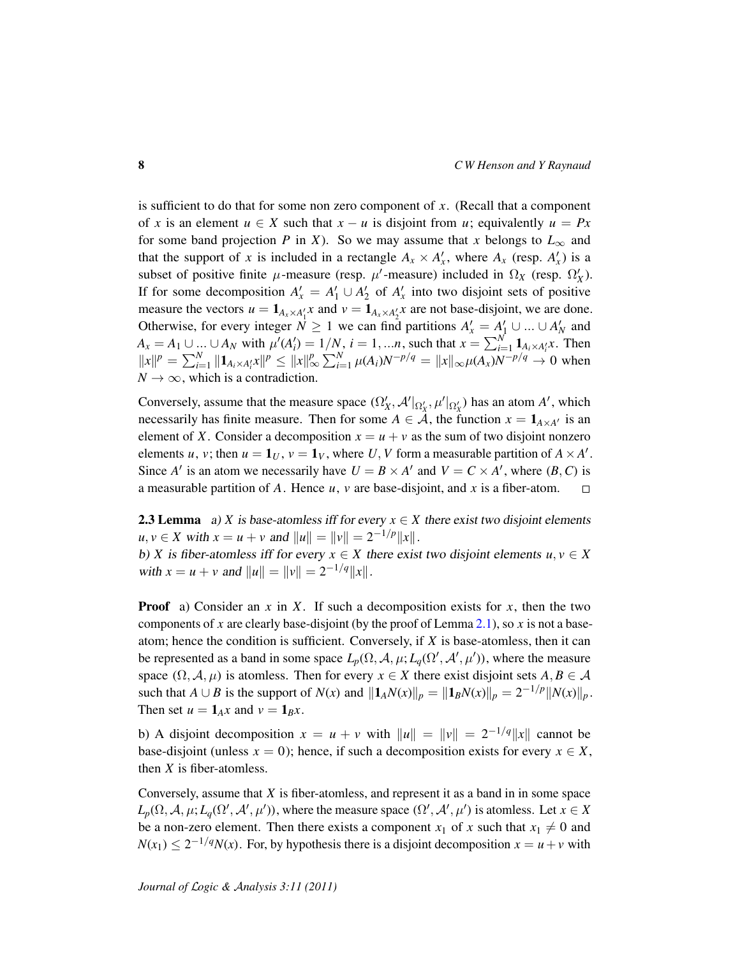is sufficient to do that for some non zero component of *x*. (Recall that a component of *x* is an element  $u \in X$  such that  $x - u$  is disjoint from *u*; equivalently  $u = Px$ for some band projection *P* in *X*). So we may assume that *x* belongs to  $L_{\infty}$  and that the support of *x* is included in a rectangle  $A_x \times A'_x$ , where  $A_x$  (resp.  $A'_x$ ) is a subset of positive finite  $\mu$ -measure (resp.  $\mu'$ -measure) included in  $\Omega_X$  (resp.  $\Omega'_X$ ). If for some decomposition  $A'_x = A'_1 \cup A'_2$  of  $A'_x$  into two disjoint sets of positive measure the vectors  $u = \mathbf{1}_{A_x \times A'_1}$  and  $v = \mathbf{1}_{A_x \times A'_2}$  are not base-disjoint, we are done. Otherwise, for every integer  $N \ge 1$  we can find partitions  $A'_x = A'_1 \cup ... \cup A'_N$  and  $A_x = A_1 ∪ ... ∪ A_N$  with  $\mu'(A'_i) = 1/N$ ,  $i = 1, ...n$ , such that  $x = \sum_{i=1}^{N} \mathbf{1}_{A_i \times A'_i} x$ . Then  $||x||^p = \sum_{i=1}^N ||1_{A_i \times A'_i}x||^p \le ||x||_\infty^p \sum_{i=1}^N \mu(A_i) N^{-p/q} = ||x||_\infty \mu(A_x) N^{-p/q} \to 0$  when  $N \rightarrow \infty$ , which is a contradiction.

Conversely, assume that the measure space  $(\Omega'_X, \mathcal{A}'|_{\Omega'_X}, \mu'|_{\Omega'_X})$  has an atom  $A'$ , which necessarily has finite measure. Then for some  $A \in \mathcal{A}$ , the function  $x = \mathbf{1}_{A \times A}$  is an element of *X*. Consider a decomposition  $x = u + v$  as the sum of two disjoint nonzero elements *u*, *v*; then  $u = \mathbf{1}_U$ ,  $v = \mathbf{1}_V$ , where *U*, *V* form a measurable partition of  $A \times A'$ . Since *A'* is an atom we necessarily have  $U = B \times A'$  and  $V = C \times A'$ , where  $(B, C)$  is a measurable partition of *A*. Hence *u*, *v* are base-disjoint, and *x* is a fiber-atom.  $\Box$ 

<span id="page-7-0"></span>**2.3 Lemma** a) *X* is base-atomless iff for every  $x \in X$  there exist two disjoint elements  $u, v \in X$  with  $x = u + v$  and  $||u|| = ||v|| = 2^{-1/p}||x||$ . b) *X* is fiber-atomless iff for every  $x \in X$  there exist two disjoint elements  $u, v \in X$ 

with  $x = u + v$  and  $||u|| = ||v|| = 2^{-1/q}||x||$ .

**Proof** a) Consider an  $x$  in  $X$ . If such a decomposition exists for  $x$ , then the two components of *x* are clearly base-disjoint (by the proof of Lemma [2.1\)](#page-6-0), so *x* is not a baseatom; hence the condition is sufficient. Conversely, if *X* is base-atomless, then it can be represented as a band in some space  $L_p(\Omega, \mathcal{A}, \mu; L_q(\Omega', \mathcal{A}', \mu'))$ , where the measure space  $(\Omega, \mathcal{A}, \mu)$  is atomless. Then for every  $x \in X$  there exist disjoint sets  $A, B \in \mathcal{A}$ such that *A* ∪ *B* is the support of *N*(*x*) and  $||1_A N(x)||_p = ||1_B N(x)||_p = 2^{-1/p} ||N(x)||_p$ . Then set  $u = \mathbf{1}_A x$  and  $v = \mathbf{1}_B x$ .

b) A disjoint decomposition  $x = u + v$  with  $||u|| = ||v|| = 2^{-1/q}||x||$  cannot be base-disjoint (unless  $x = 0$ ); hence, if such a decomposition exists for every  $x \in X$ , then *X* is fiber-atomless.

Conversely, assume that *X* is fiber-atomless, and represent it as a band in in some space  $L_p(\Omega, \mathcal{A}, \mu; L_q(\Omega', \mathcal{A}', \mu'))$ , where the measure space  $(\Omega', \mathcal{A}', \mu')$  is atomless. Let  $x \in X$ be a non-zero element. Then there exists a component  $x_1$  of x such that  $x_1 \neq 0$  and  $N(x_1) \leq 2^{-1/q}N(x)$ . For, by hypothesis there is a disjoint decomposition  $x = u + v$  with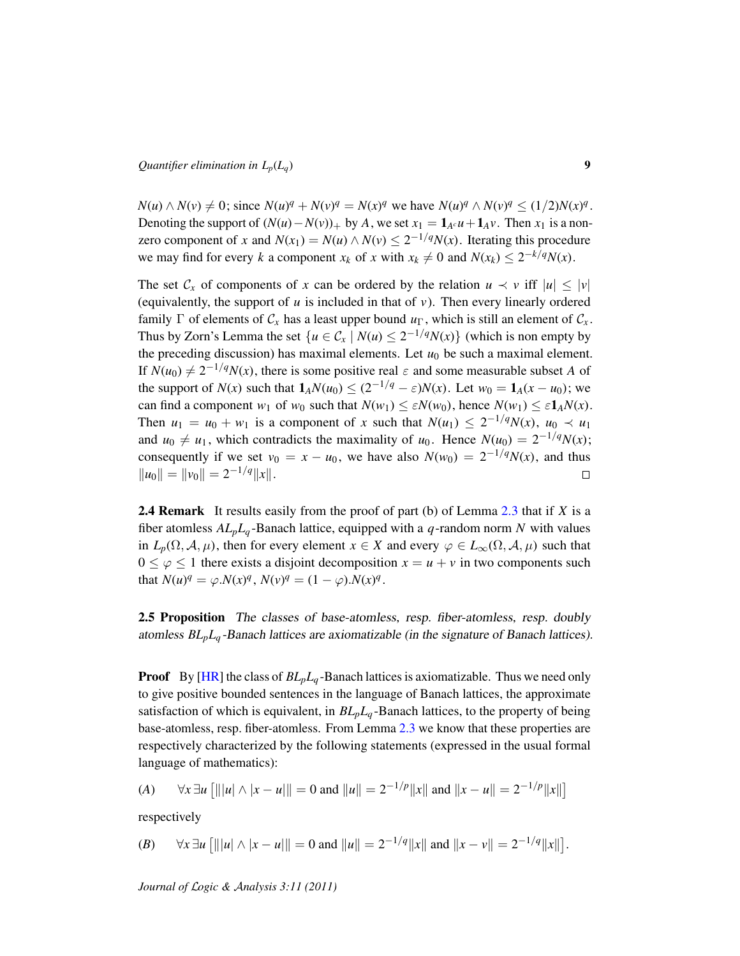$N(u) \wedge N(v) \neq 0$ ; since  $N(u)^q + N(v)^q = N(x)^q$  we have  $N(u)^q \wedge N(v)^q \leq (1/2)N(x)^q$ . Denoting the support of  $(N(u) - N(v))_+$  by *A*, we set  $x_1 = 1_{A \cap U} + 1_{A}v$ . Then  $x_1$  is a nonzero component of *x* and  $N(x_1) = N(u) \wedge N(v) \leq 2^{-1/q} N(x)$ . Iterating this procedure we may find for every *k* a component  $x_k$  of *x* with  $x_k \neq 0$  and  $N(x_k) \leq 2^{-k/q}N(x)$ .

The set  $\mathcal{C}_x$  of components of *x* can be ordered by the relation  $u \prec v$  iff  $|u| \le |v|$ (equivalently, the support of *u* is included in that of *v*). Then every linearly ordered family  $\Gamma$  of elements of  $\mathcal{C}_x$  has a least upper bound  $u_{\Gamma}$ , which is still an element of  $\mathcal{C}_x$ . Thus by Zorn's Lemma the set  $\{u \in C_x \mid N(u) \leq 2^{-1/q} N(x)\}$  (which is non empty by the preceding discussion) has maximal elements. Let  $u_0$  be such a maximal element. If  $N(u_0) \neq 2^{-1/q}N(x)$ , there is some positive real  $\varepsilon$  and some measurable subset *A* of the support of  $N(x)$  such that  $\mathbf{1}_A N(u_0) \leq (2^{-1/q} - \varepsilon)N(x)$ . Let  $w_0 = \mathbf{1}_A(x - u_0)$ ; we can find a component *w*<sub>1</sub> of *w*<sub>0</sub> such that  $N(w_1) \leq \varepsilon N(w_0)$ , hence  $N(w_1) \leq \varepsilon 1_A N(x)$ . Then  $u_1 = u_0 + w_1$  is a component of *x* such that  $N(u_1) \leq 2^{-1/q}N(x)$ ,  $u_0 \prec u_1$ and  $u_0 \neq u_1$ , which contradicts the maximality of  $u_0$ . Hence  $N(u_0) = 2^{-1/q}N(x)$ ; consequently if we set  $v_0 = x - u_0$ , we have also  $N(w_0) = 2^{-1/q}N(x)$ , and thus  $\|u_0\| = \|v_0\| = 2^{-1/q} \|x\|.$  $\Box$ 

<span id="page-8-1"></span>2.4 Remark It results easily from the proof of part (b) of Lemma [2.3](#page-7-0) that if *X* is a fiber atomless  $AL_pL_q$ -Banach lattice, equipped with a  $q$ -random norm  $N$  with values in  $L_p(\Omega, \mathcal{A}, \mu)$ , then for every element  $x \in X$  and every  $\varphi \in L_\infty(\Omega, \mathcal{A}, \mu)$  such that  $0 \leq \varphi \leq 1$  there exists a disjoint decomposition  $x = u + v$  in two components such that  $N(u)^q = \varphi N(x)^q$ ,  $N(v)^q = (1 - \varphi) N(x)^q$ .

<span id="page-8-0"></span>2.5 Proposition The classes of base-atomless, resp. fiber-atomless, resp. doubly atomless *BLpL<sup>q</sup>* -Banach lattices are axiomatizable (in the signature of Banach lattices).

Proof By [\[HR\]](#page-28-0) the class of *BLpL<sup>q</sup>* -Banach lattices is axiomatizable. Thus we need only to give positive bounded sentences in the language of Banach lattices, the approximate satisfaction of which is equivalent, in *BLpL<sup>q</sup>* -Banach lattices, to the property of being base-atomless, resp. fiber-atomless. From Lemma [2.3](#page-7-0) we know that these properties are respectively characterized by the following statements (expressed in the usual formal language of mathematics):

(A) 
$$
\forall x \exists u \left[ |||u| \wedge |x - u|| \right] = 0
$$
 and  $||u|| = 2^{-1/p} ||x||$  and  $||x - u|| = 2^{-1/p} ||x||$ 

respectively

(B) 
$$
\forall x \exists u [|||u| \land |x - u||] = 0
$$
 and  $||u|| = 2^{-1/q}||x||$  and  $||x - v|| = 2^{-1/q}||x||$ .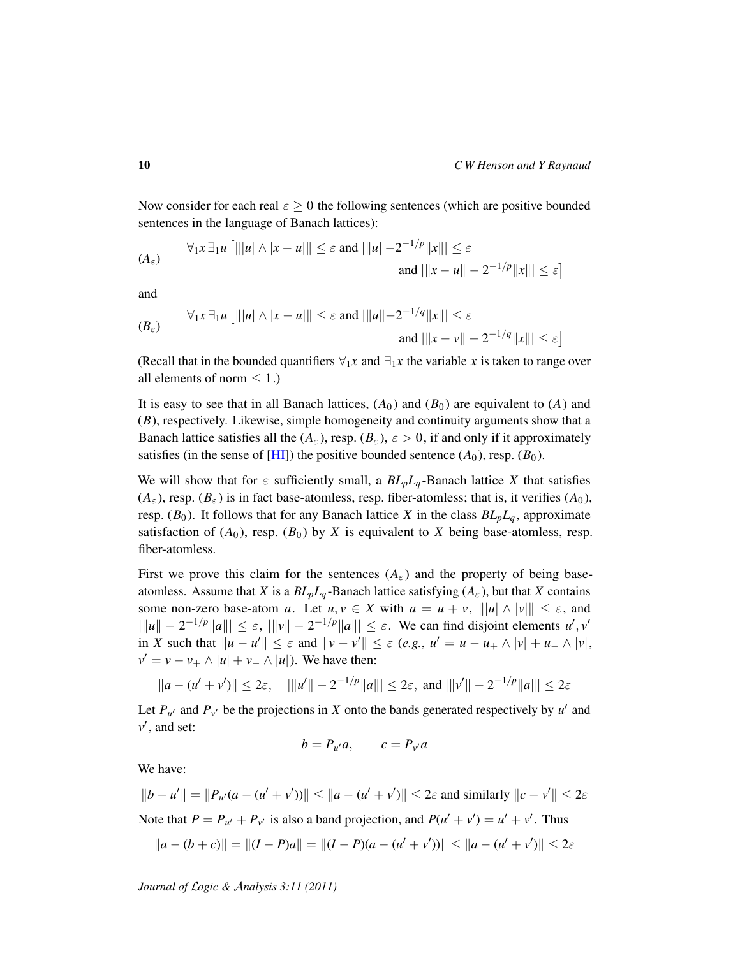Now consider for each real  $\varepsilon \geq 0$  the following sentences (which are positive bounded sentences in the language of Banach lattices):

$$
(A_{\varepsilon}) \qquad \forall_{1} x \exists_{1} u \left[ |||u| \wedge |x - u|| \right] \leq \varepsilon \text{ and } |||u|| - 2^{-1/p} ||x||| \leq \varepsilon
$$
  
and 
$$
|||x - u|| - 2^{-1/p} ||x||| \leq \varepsilon
$$

and

$$
(B_{\varepsilon}) \qquad \forall_{1} x \exists_{1} u \left[ \|\vert u \vert \wedge \vert x - u \vert\| \leq \varepsilon \text{ and } \|\vert u \vert - 2^{-1/q} \Vert x \Vert\| \leq \varepsilon
$$
  
and 
$$
\|\vert x - v \vert\| - 2^{-1/q} \Vert x \Vert\| \leq \varepsilon \right]
$$

(Recall that in the bounded quantifiers  $\forall_1 x$  and  $\exists_1 x$  the variable *x* is taken to range over all elements of norm  $\leq 1$ .)

It is easy to see that in all Banach lattices,  $(A_0)$  and  $(B_0)$  are equivalent to  $(A)$  and (*B*), respectively. Likewise, simple homogeneity and continuity arguments show that a Banach lattice satisfies all the  $(A_\varepsilon)$ , resp.  $(B_\varepsilon)$ ,  $\varepsilon > 0$ , if and only if it approximately satisfies (in the sense of  $[HI]$ ) the positive bounded sentence  $(A_0)$ , resp.  $(B_0)$ .

We will show that for  $\varepsilon$  sufficiently small, a  $BL_pL_q$ -Banach lattice X that satisfies  $(A_{\varepsilon})$ , resp.  $(B_{\varepsilon})$  is in fact base-atomless, resp. fiber-atomless; that is, it verifies  $(A_0)$ , resp.  $(B_0)$ . It follows that for any Banach lattice *X* in the class  $BL_pL_q$ , approximate satisfaction of  $(A_0)$ , resp.  $(B_0)$  by *X* is equivalent to *X* being base-atomless, resp. fiber-atomless.

First we prove this claim for the sentences  $(A_\varepsilon)$  and the property of being baseatomless. Assume that *X* is a  $BL_pL_q$ -Banach lattice satisfying  $(A_\varepsilon)$ , but that *X* contains some non-zero base-atom *a*. Let  $u, v \in X$  with  $a = u + v$ ,  $||u|| \wedge |v||| \le \varepsilon$ , and  $\|x\| - 2^{-1/p} \|a\| \leq \varepsilon$ ,  $\|v\| - 2^{-1/p} \|a\| \leq \varepsilon$ . We can find disjoint elements *u'*, *v'* in *X* such that  $||u - u'|| \le \varepsilon$  and  $||v - v'|| \le \varepsilon$  (*e.g.*,  $u' = u - u_+ \wedge |v| + u_- \wedge |v|$ ,  $v' = v - v_+ \wedge |u| + v_- \wedge |u|$ ). We have then:

$$
||a - (u' + v')|| \le 2\varepsilon
$$
,  $|||u'|| - 2^{-1/p}||a||| \le 2\varepsilon$ , and  $|||v'|| - 2^{-1/p}||a||| \le 2\varepsilon$ 

Let  $P_{u'}$  and  $P_{v'}$  be the projections in *X* onto the bands generated respectively by *u'* and  $v'$ , and set:

$$
b = P_{u'}a, \qquad c = P_{v'}a
$$

We have:

 $||b - u'|| = ||P_{u'}(a - (u' + v'))|| \le ||a - (u' + v')|| \le 2\varepsilon$  and similarly  $||c - v'|| \le 2\varepsilon$ Note that  $P = P_{u'} + P_{v'}$  is also a band projection, and  $P(u' + v') = u' + v'$ . Thus

$$
||a - (b + c)|| = ||(I - P)a|| = ||(I - P)(a - (u' + v'))|| \le ||a - (u' + v')|| \le 2\varepsilon
$$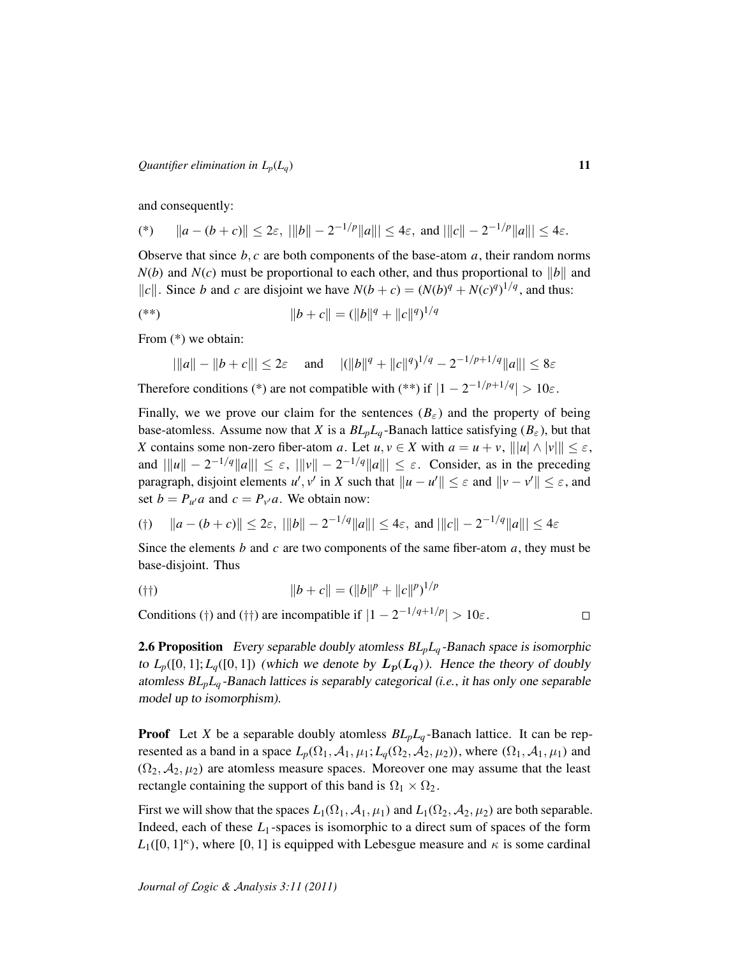and consequently:

(\*) 
$$
||a - (b + c)|| \le 2\varepsilon
$$
,  $|||b|| - 2^{-1/p}||a||| \le 4\varepsilon$ , and  $|||c|| - 2^{-1/p}||a||| \le 4\varepsilon$ .

Observe that since  $b, c$  are both components of the base-atom  $a$ , their random norms  $N(b)$  and  $N(c)$  must be proportional to each other, and thus proportional to  $||b||$  and  $||c||$ . Since *b* and *c* are disjoint we have  $N(b + c) = (N(b)^q + N(c)^q)^{1/q}$ , and thus:

$$
(*)\t||b+c|| = (||b||q + ||c||q)1/q
$$

From (\*) we obtain:

$$
|||a|| - ||b + c||| \le 2\varepsilon
$$
 and  $||||b||^q + ||c||^q$ <sup>1/q</sup> - 2<sup>-1/p+1/q</sup>||a||| \le 8\varepsilon

Therefore conditions (\*) are not compatible with (\*\*) if  $|1 - 2^{-1/p + 1/q}| > 10\varepsilon$ .

Finally, we we prove our claim for the sentences  $(B_{\varepsilon})$  and the property of being base-atomless. Assume now that *X* is a  $BL_pL_q$ -Banach lattice satisfying ( $B_\varepsilon$ ), but that *X* contains some non-zero fiber-atom *a*. Let  $u, v \in X$  with  $a = u + v$ ,  $||u|| \wedge ||v|| \leq \varepsilon$ , and  $||u|| - 2^{-1/q} ||a|| | \leq \varepsilon$ ,  $|||v|| - 2^{-1/q} ||a|| | \leq \varepsilon$ . Consider, as in the preceding paragraph, disjoint elements  $u'$ ,  $v'$  in *X* such that  $||u - u'|| \leq \varepsilon$  and  $||v - v'|| \leq \varepsilon$ , and set  $b = P_{u'}a$  and  $c = P_{v'}a$ . We obtain now:

$$
(|\tau|) \quad ||a - (b + c)|| \le 2\varepsilon, \ |||b|| - 2^{-1/q}||a||| \le 4\varepsilon, \text{ and } |||c|| - 2^{-1/q}||a||| \le 4\varepsilon
$$

Since the elements *b* and *c* are two components of the same fiber-atom *a*, they must be base-disjoint. Thus

$$
||b + c|| = (||b||p + ||c||p)1/p
$$

Conditions (†) and (††) are incompatible if  $|1 - 2^{-1/q+1/p}| > 10\varepsilon$ .

 $\Box$ 

<span id="page-10-0"></span>2.6 Proposition Every separable doubly atomless *BLpL<sup>q</sup>* -Banach space is isomorphic to  $L_p([0, 1]; L_q([0, 1])$  (which we denote by  $L_p(L_q)$ ). Hence the theory of doubly atomless *BLpL<sup>q</sup>* -Banach lattices is separably categorical (*i.e.*, it has only one separable model up to isomorphism).

**Proof** Let *X* be a separable doubly atomless  $BL_pL_q$ -Banach lattice. It can be represented as a band in a space  $L_p(\Omega_1, \mathcal{A}_1, \mu_1; L_q(\Omega_2, \mathcal{A}_2, \mu_2))$ , where  $(\Omega_1, \mathcal{A}_1, \mu_1)$  and  $(\Omega_2, \mathcal{A}_2, \mu_2)$  are atomless measure spaces. Moreover one may assume that the least rectangle containing the support of this band is  $\Omega_1 \times \Omega_2$ .

First we will show that the spaces  $L_1(\Omega_1, \mathcal{A}_1, \mu_1)$  and  $L_1(\Omega_2, \mathcal{A}_2, \mu_2)$  are both separable. Indeed, each of these  $L_1$ -spaces is isomorphic to a direct sum of spaces of the form  $L_1([0, 1]^\kappa)$ , where [0, 1] is equipped with Lebesgue measure and  $\kappa$  is some cardinal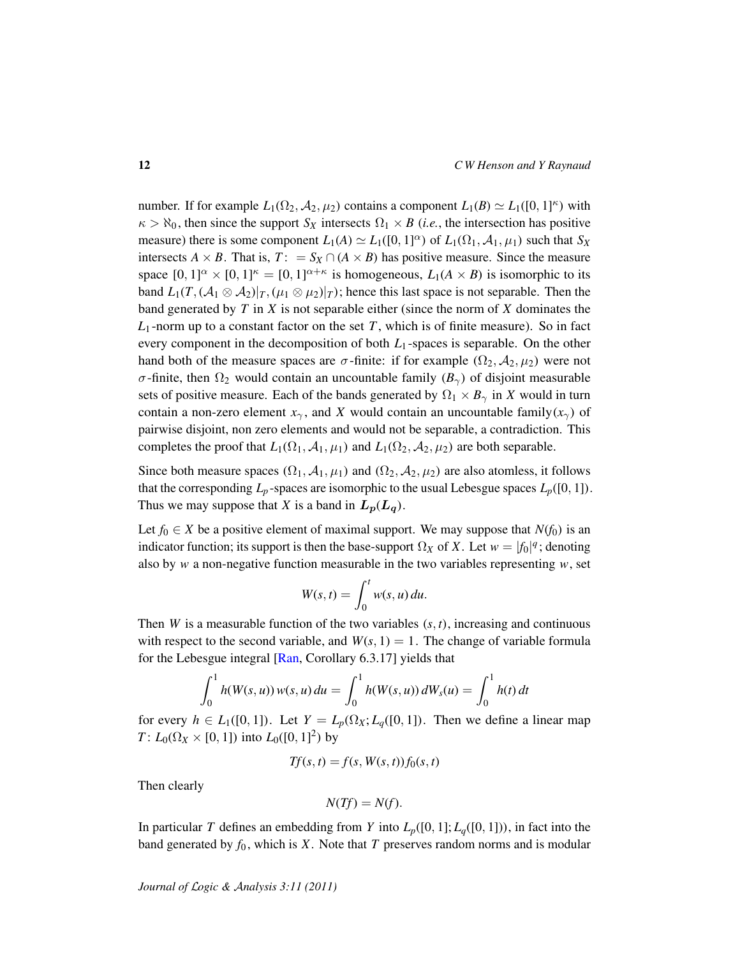number. If for example  $L_1(\Omega_2, \mathcal{A}_2, \mu_2)$  contains a component  $L_1(B) \simeq L_1([0, 1]^{\kappa})$  with  $\kappa > \aleph_0$ , then since the support  $S_X$  intersects  $\Omega_1 \times B$  (*i.e.*, the intersection has positive measure) there is some component  $L_1(A) \simeq L_1([0, 1]^\alpha)$  of  $L_1(\Omega_1, \mathcal{A}_1, \mu_1)$  such that  $S_X$ intersects *A* × *B*. That is,  $T: = S_X \cap (A \times B)$  has positive measure. Since the measure space  $[0,1]^\alpha \times [0,1]^\kappa = [0,1]^{\alpha+\kappa}$  is homogeneous,  $L_1(A \times B)$  is isomorphic to its band  $L_1(T, (\mathcal{A}_1 \otimes \mathcal{A}_2)|_T, (\mu_1 \otimes \mu_2)|_T)$ ; hence this last space is not separable. Then the band generated by *T* in *X* is not separable either (since the norm of *X* dominates the  $L_1$ -norm up to a constant factor on the set *T*, which is of finite measure). So in fact every component in the decomposition of both  $L_1$ -spaces is separable. On the other hand both of the measure spaces are  $\sigma$ -finite: if for example  $(\Omega_2, \mathcal{A}_2, \mu_2)$  were not σ-finite, then  $\Omega_2$  would contain an uncountable family  $(B_γ)$  of disjoint measurable sets of positive measure. Each of the bands generated by  $\Omega_1 \times B_{\gamma}$  in *X* would in turn contain a non-zero element  $x_\gamma$ , and *X* would contain an uncountable family( $x_\gamma$ ) of pairwise disjoint, non zero elements and would not be separable, a contradiction. This completes the proof that  $L_1(\Omega_1, \mathcal{A}_1, \mu_1)$  and  $L_1(\Omega_2, \mathcal{A}_2, \mu_2)$  are both separable.

Since both measure spaces  $(\Omega_1, \mathcal{A}_1, \mu_1)$  and  $(\Omega_2, \mathcal{A}_2, \mu_2)$  are also atomless, it follows that the corresponding  $L_p$ -spaces are isomorphic to the usual Lebesgue spaces  $L_p([0, 1])$ . Thus we may suppose that *X* is a band in  $L_p(L_q)$ .

Let  $f_0 \in X$  be a positive element of maximal support. We may suppose that  $N(f_0)$  is an indicator function; its support is then the base-support  $\Omega_X$  of *X*. Let  $w = |f_0|^q$ ; denoting also by *w* a non-negative function measurable in the two variables representing *w*, set

$$
W(s,t) = \int_0^t w(s,u) \, du.
$$

Then *W* is a measurable function of the two variables  $(s, t)$ , increasing and continuous with respect to the second variable, and  $W(s, 1) = 1$ . The change of variable formula for the Lebesgue integral [\[Ran,](#page-28-8) Corollary 6.3.17] yields that

$$
\int_0^1 h(W(s, u)) w(s, u) du = \int_0^1 h(W(s, u)) dW_s(u) = \int_0^1 h(t) dt
$$

for every  $h \in L_1([0,1])$ . Let  $Y = L_p(\Omega_X; L_q([0,1])$ . Then we define a linear map *T* :  $L_0(\Omega_X \times [0, 1])$  into  $L_0([0, 1]^2)$  by

$$
Tf(s,t) = f(s, W(s,t))f_0(s,t)
$$

Then clearly

$$
N(Tf)=N(f).
$$

In particular *T* defines an embedding from *Y* into  $L_p([0, 1]; L_q([0, 1]))$ , in fact into the band generated by  $f_0$ , which is *X*. Note that *T* preserves random norms and is modular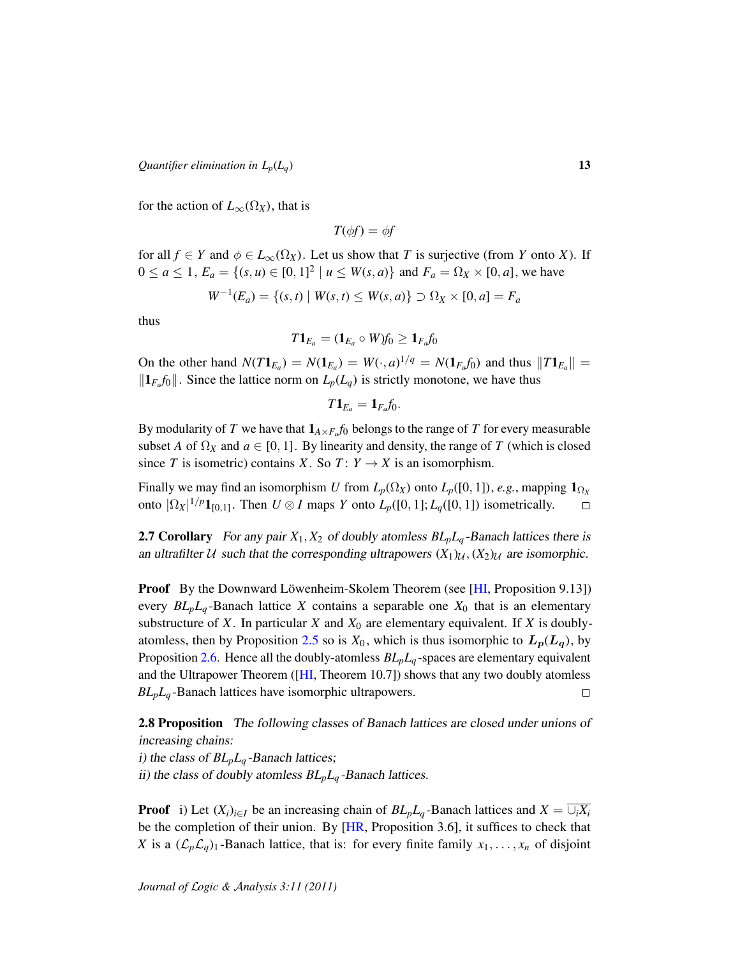for the action of  $L_{\infty}(\Omega_X)$ , that is

$$
T(\phi f) = \phi f
$$

for all  $f \in Y$  and  $\phi \in L_{\infty}(\Omega_X)$ . Let us show that *T* is surjective (from *Y* onto *X*). If  $0 \le a \le 1$ ,  $E_a = \{(s, u) \in [0, 1]^2 \mid u \le W(s, a)\}\$  and  $F_a = \Omega_X \times [0, a]$ , we have

$$
W^{-1}(E_a) = \{(s, t) \mid W(s, t) \le W(s, a)\} \supset \Omega_X \times [0, a] = F_a
$$

thus

$$
T\mathbf{1}_{E_a}=(\mathbf{1}_{E_a}\circ W)f_0\geq \mathbf{1}_{F_a}f_0
$$

On the other hand  $N(T1_{E_a}) = N(1_{E_a}) = W(\cdot, a)^{1/q} = N(1_{F_a}f_0)$  and thus  $||T1_{E_a}|| =$  $||\mathbf{1}_{F_a}f_0||$ . Since the lattice norm on  $L_p(L_q)$  is strictly monotone, we have thus

$$
T\mathbf{1}_{E_a}=\mathbf{1}_{F_a}f_0.
$$

By modularity of  $T$  we have that  $\mathbf{1}_{A \times F_a} f_0$  belongs to the range of  $T$  for every measurable subset *A* of  $\Omega_X$  and  $a \in [0, 1]$ . By linearity and density, the range of *T* (which is closed since *T* is isometric) contains *X*. So *T* :  $Y \rightarrow X$  is an isomorphism.

Finally we may find an isomorphism *U* from  $L_p(\Omega_X)$  onto  $L_p([0, 1])$ , *e.g.*, mapping  $\mathbf{1}_{\Omega_X}$ onto  $|\Omega_X|^{1/p} \mathbf{1}_{[0,1]}$ . Then  $U \otimes I$  maps Y onto  $L_p([0,1]; L_q([0,1])$  isometrically.  $\Box$ 

**2.7 Corollary** For any pair  $X_1, X_2$  of doubly atomless  $BL_pL_q$ -Banach lattices there is an ultrafilter U such that the corresponding ultrapowers  $(X_1)_{\mathcal{U}}, (X_2)_{\mathcal{U}}$  are isomorphic.

**Proof** By the Downward Löwenheim-Skolem Theorem (see [[HI,](#page-28-2) Proposition 9.13]) every  $BL_pL_q$ -Banach lattice *X* contains a separable one  $X_0$  that is an elementary substructure of  $X$ . In particular  $X$  and  $X_0$  are elementary equivalent. If  $X$  is doubly-atomless, then by Proposition [2.5](#page-8-0) so is  $X_0$ , which is thus isomorphic to  $L_p(L_q)$ , by Proposition [2.6.](#page-10-0) Hence all the doubly-atomless *BLpL<sup>q</sup>* -spaces are elementary equivalent and the Ultrapower Theorem ([\[HI,](#page-28-2) Theorem 10.7]) shows that any two doubly atomless *BLpL<sup>q</sup>* -Banach lattices have isomorphic ultrapowers.  $\Box$ 

<span id="page-12-0"></span>2.8 Proposition The following classes of Banach lattices are closed under unions of increasing chains:

i) the class of *BLpL<sup>q</sup>* -Banach lattices;

ii) the class of doubly atomless *BLpL<sup>q</sup>* -Banach lattices.

**Proof** i) Let  $(X_i)_{i \in I}$  be an increasing chain of  $BL_pL_q$ -Banach lattices and  $X = \overline{\bigcup_i X_i}$ be the completion of their union. By [\[HR,](#page-28-0) Proposition 3.6], it suffices to check that *X* is a  $(L_p L_q)$ 1 -Banach lattice, that is: for every finite family  $x_1, \ldots, x_n$  of disjoint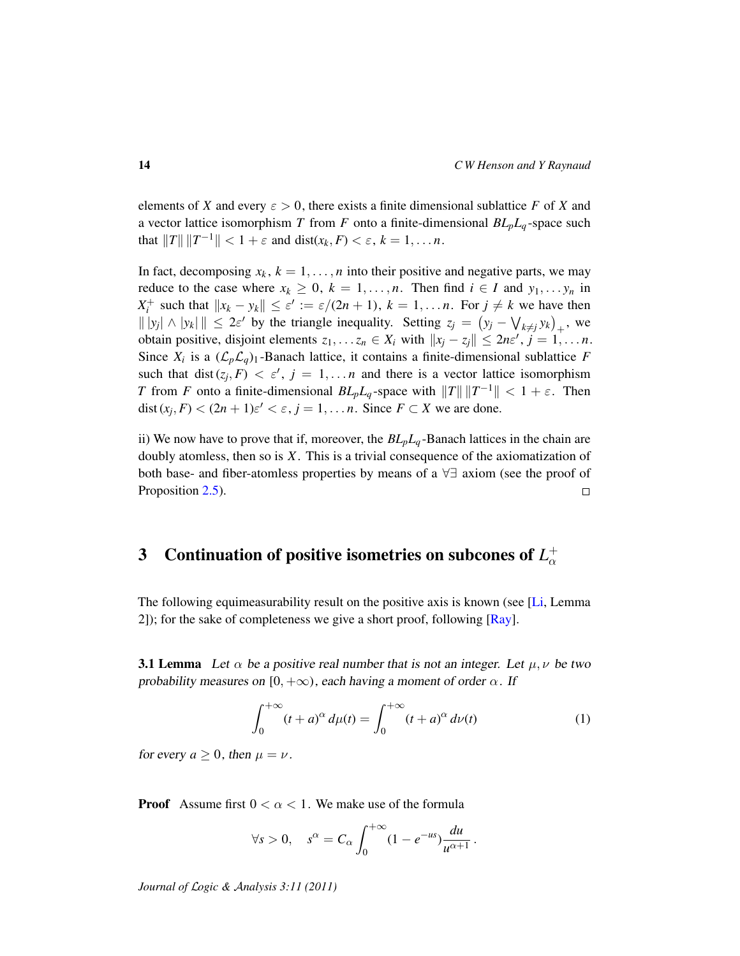elements of *X* and every  $\varepsilon > 0$ , there exists a finite dimensional sublattice *F* of *X* and a vector lattice isomorphism *T* from *F* onto a finite-dimensional  $BL_pL_q$ -space such that  $||T|| ||T^{-1}|| < 1 + \varepsilon$  and  $dist(x_k, F) < \varepsilon$ ,  $k = 1, ..., n$ .

In fact, decomposing  $x_k$ ,  $k = 1, \ldots, n$  into their positive and negative parts, we may reduce to the case where  $x_k \geq 0$ ,  $k = 1, \ldots, n$ . Then find  $i \in I$  and  $y_1, \ldots, y_n$  in *X*<sup>+</sup> such that  $||x_k - y_k|| \leq \varepsilon' := \varepsilon/(2n + 1)$ ,  $k = 1, \ldots n$ . For  $j \neq k$  we have then  $|| |y_j| \wedge |y_k| || \leq 2\varepsilon'$  by the triangle inequality. Setting  $z_j = (y_j - \bigvee_{k \neq j} y_k)_+$ , we obtain positive, disjoint elements  $z_1, \ldots z_n \in X_i$  with  $||x_j - z_j|| \leq 2n\varepsilon', j = 1, \ldots n$ . Since  $X_i$  is a  $(\mathcal{L}_p \mathcal{L}_q)_1$ -Banach lattice, it contains a finite-dimensional sublattice *F* such that dist $(z_j, F) < \varepsilon'$ ,  $j = 1, \ldots n$  and there is a vector lattice isomorphism *T* from *F* onto a finite-dimensional  $BL_pL_q$ -space with  $||T|| ||T^{-1}|| < 1 + \varepsilon$ . Then dist  $(x_j, F) < (2n + 1)\varepsilon' < \varepsilon, j = 1, \dots n$ . Since  $F \subset X$  we are done.

ii) We now have to prove that if, moreover, the *BLpL<sup>q</sup>* -Banach lattices in the chain are doubly atomless, then so is *X*. This is a trivial consequence of the axiomatization of both base- and fiber-atomless properties by means of a ∀∃ axiom (see the proof of Proposition [2.5\)](#page-8-0).  $\Box$ 

#### <span id="page-13-0"></span>3 Continuation of positive isometries on subcones of  $L^+_\alpha$ α

The following equimeasurability result on the positive axis is known (see [\[Li,](#page-28-9) Lemma 2]); for the sake of completeness we give a short proof, following  $[Ray]$ .

<span id="page-13-1"></span>**3.1 Lemma** Let  $\alpha$  be a positive real number that is not an integer. Let  $\mu, \nu$  be two probability measures on [0,  $+\infty$ ), each having a moment of order  $\alpha$ . If

$$
\int_0^{+\infty} (t+a)^\alpha d\mu(t) = \int_0^{+\infty} (t+a)^\alpha d\nu(t)
$$
 (1)

for every  $a > 0$ , then  $\mu = \nu$ .

**Proof** Assume first  $0 < \alpha < 1$ . We make use of the formula

$$
\forall s > 0, \quad s^{\alpha} = C_{\alpha} \int_0^{+\infty} (1 - e^{-us}) \frac{du}{u^{\alpha+1}}.
$$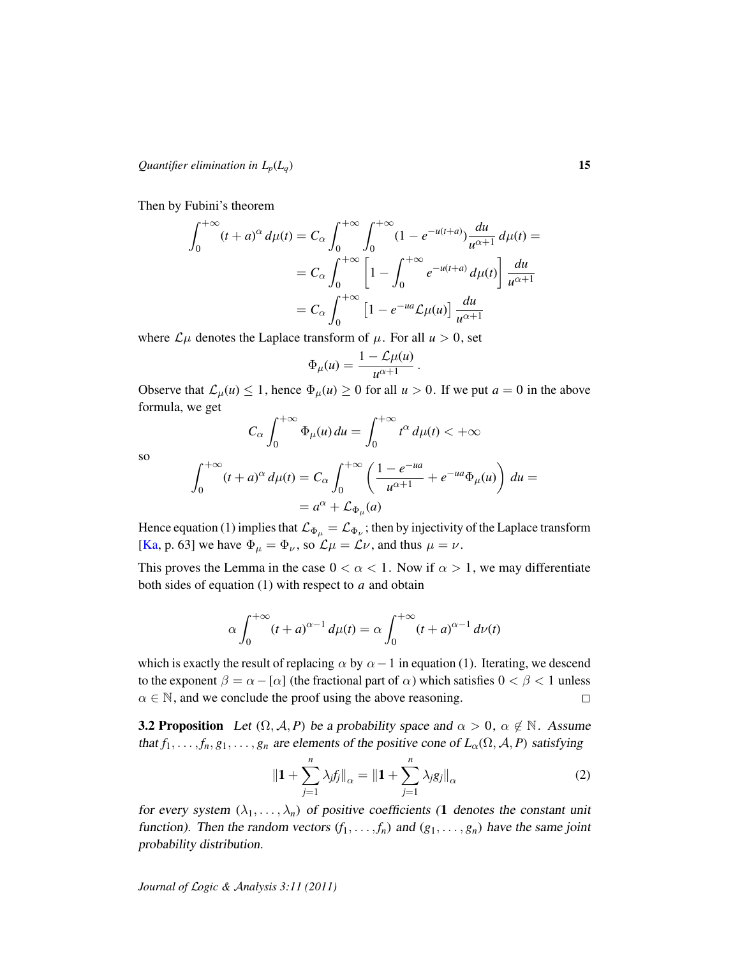Then by Fubini's theorem

$$
\int_0^{+\infty} (t+a)^\alpha d\mu(t) = C_\alpha \int_0^{+\infty} \int_0^{+\infty} (1-e^{-u(t+a)}) \frac{du}{u^{\alpha+1}} d\mu(t) =
$$
  

$$
= C_\alpha \int_0^{+\infty} \left[1 - \int_0^{+\infty} e^{-u(t+a)} d\mu(t)\right] \frac{du}{u^{\alpha+1}}
$$
  

$$
= C_\alpha \int_0^{+\infty} \left[1 - e^{-ua} \mathcal{L}\mu(u)\right] \frac{du}{u^{\alpha+1}}
$$

where  $\mathcal{L}\mu$  denotes the Laplace transform of  $\mu$ . For all  $u > 0$ , set

$$
\Phi_{\mu}(u) = \frac{1 - \mathcal{L}\mu(u)}{u^{\alpha+1}}.
$$

Observe that  $\mathcal{L}_{\mu}(u) \leq 1$ , hence  $\Phi_{\mu}(u) \geq 0$  for all  $u > 0$ . If we put  $a = 0$  in the above formula, we get

$$
C_{\alpha} \int_0^{+\infty} \Phi_{\mu}(u) du = \int_0^{+\infty} t^{\alpha} d\mu(t) < +\infty
$$

so

$$
\int_0^{+\infty} (t+a)^\alpha d\mu(t) = C_\alpha \int_0^{+\infty} \left( \frac{1-e^{-ua}}{u^{\alpha+1}} + e^{-ua} \Phi_\mu(u) \right) du =
$$
  
=  $a^\alpha + \mathcal{L}_{\Phi_\mu}(a)$ 

Hence equation (1) implies that  $\mathcal{L}_{\Phi_\mu} = \mathcal{L}_{\Phi_\nu}$ ; then by injectivity of the Laplace transform [\[Ka,](#page-28-11) p. 63] we have  $\Phi_{\mu} = \Phi_{\nu}$ , so  $\mathcal{L}\mu = \mathcal{L}\nu$ , and thus  $\mu = \nu$ .

This proves the Lemma in the case  $0 < \alpha < 1$ . Now if  $\alpha > 1$ , we may differentiate both sides of equation (1) with respect to *a* and obtain

$$
\alpha \int_0^{+\infty} (t+a)^{\alpha-1} d\mu(t) = \alpha \int_0^{+\infty} (t+a)^{\alpha-1} d\nu(t)
$$

which is exactly the result of replacing  $\alpha$  by  $\alpha-1$  in equation (1). Iterating, we descend to the exponent  $\beta = \alpha - [\alpha]$  (the fractional part of  $\alpha$ ) which satisfies  $0 < \beta < 1$  unless  $\alpha \in \mathbb{N}$ , and we conclude the proof using the above reasoning.  $\Box$ 

<span id="page-14-0"></span>**3.2 Proposition** Let  $(\Omega, \mathcal{A}, P)$  be a probability space and  $\alpha > 0$ ,  $\alpha \notin \mathbb{N}$ . Assume that  $f_1, \ldots, f_n, g_1, \ldots, g_n$  are elements of the positive cone of  $L_{\alpha}(\Omega, \mathcal{A}, P)$  satisfying

$$
\|\mathbf{1} + \sum_{j=1}^{n} \lambda_j f_j\|_{\alpha} = \|\mathbf{1} + \sum_{j=1}^{n} \lambda_j g_j\|_{\alpha}
$$
 (2)

for every system  $(\lambda_1, \ldots, \lambda_n)$  of positive coefficients (1 denotes the constant unit function). Then the random vectors  $(f_1, \ldots, f_n)$  and  $(g_1, \ldots, g_n)$  have the same joint probability distribution.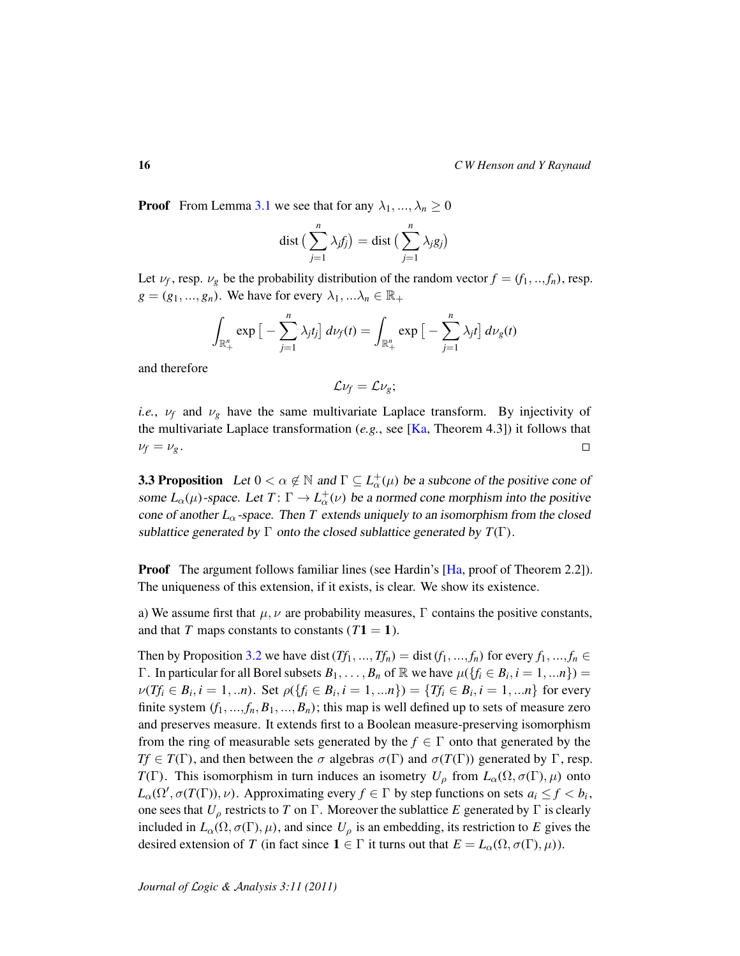**Proof** From Lemma [3.1](#page-13-1) we see that for any  $\lambda_1, ..., \lambda_n \geq 0$ 

$$
dist\left(\sum_{j=1}^{n} \lambda_j f_j\right) = dist\left(\sum_{j=1}^{n} \lambda_j g_j\right)
$$

Let  $\nu_f$ , resp.  $\nu_g$  be the probability distribution of the random vector  $f = (f_1, ..., f_n)$ , resp.  $g = (g_1, ..., g_n)$ . We have for every  $\lambda_1, ... \lambda_n \in \mathbb{R}_+$ 

$$
\int_{\mathbb{R}^n_+} \exp\big[-\sum_{j=1}^n \lambda_j t_j\big] d\nu_f(t) = \int_{\mathbb{R}^n_+} \exp\big[-\sum_{j=1}^n \lambda_j t\big] d\nu_g(t)
$$

and therefore

$$
\mathcal{L}\nu_f=\mathcal{L}\nu_g;
$$

*i.e.*,  $\nu_f$  and  $\nu_g$  have the same multivariate Laplace transform. By injectivity of the multivariate Laplace transformation  $(e.g., \text{see } [Ka, Theorem 4.3])$  $(e.g., \text{see } [Ka, Theorem 4.3])$  $(e.g., \text{see } [Ka, Theorem 4.3])$  it follows that  $\nu_f = \nu_g$ .  $\Box$ 

<span id="page-15-0"></span>**3.3 Proposition** Let  $0 < \alpha \notin \mathbb{N}$  and  $\Gamma \subseteq L^+_{\alpha}(\mu)$  be a subcone of the positive cone of some  $L_{\alpha}(\mu)$ -space. Let  $T: \Gamma \to L_{\alpha}^{+}(\nu)$  be a normed cone morphism into the positive cone of another  $L_{\alpha}$ -space. Then *T* extends uniquely to an isomorphism from the closed sublattice generated by  $\Gamma$  onto the closed sublattice generated by  $T(\Gamma)$ .

Proof The argument follows familiar lines (see Hardin's [\[Ha,](#page-27-1) proof of Theorem 2.2]). The uniqueness of this extension, if it exists, is clear. We show its existence.

a) We assume first that  $\mu$ ,  $\nu$  are probability measures,  $\Gamma$  contains the positive constants, and that *T* maps constants to constants  $(T1 = 1)$ .

Then by Proposition [3.2](#page-14-0) we have dist  $(Tf_1, ..., Tf_n) = \text{dist}(f_1, ..., f_n)$  for every  $f_1, ..., f_n \in$ Γ. In particular for all Borel subsets  $B_1, \ldots, B_n$  of R we have  $\mu({f_i \in B_i, i = 1, \ldots n}) =$  $\nu(Tf_i \in B_i, i = 1, ...n)$ . Set  $\rho(\{f_i \in B_i, i = 1, ...n\}) = \{Tf_i \in B_i, i = 1, ...n\}$  for every finite system  $(f_1, ..., f_n, B_1, ..., B_n)$ ; this map is well defined up to sets of measure zero and preserves measure. It extends first to a Boolean measure-preserving isomorphism from the ring of measurable sets generated by the  $f \in \Gamma$  onto that generated by the *Tf*  $\in T(\Gamma)$ , and then between the  $\sigma$  algebras  $\sigma(\Gamma)$  and  $\sigma(T(\Gamma))$  generated by  $\Gamma$ , resp. *T*(Γ). This isomorphism in turn induces an isometry  $U_\rho$  from  $L_\alpha(\Omega, \sigma(\Gamma), \mu)$  onto  $L_{\alpha}(\Omega', \sigma(T(\Gamma)), \nu)$ . Approximating every  $f \in \Gamma$  by step functions on sets  $a_i \leq f < b_i$ , one sees that *U*<sup>ρ</sup> restricts to *T* on Γ. Moreover the sublattice *E* generated by Γ is clearly included in  $L_{\alpha}(\Omega, \sigma(\Gamma), \mu)$ , and since  $U_{\rho}$  is an embedding, its restriction to *E* gives the desired extension of *T* (in fact since  $1 \in \Gamma$  it turns out that  $E = L_{\alpha}(\Omega, \sigma(\Gamma), \mu)$ ).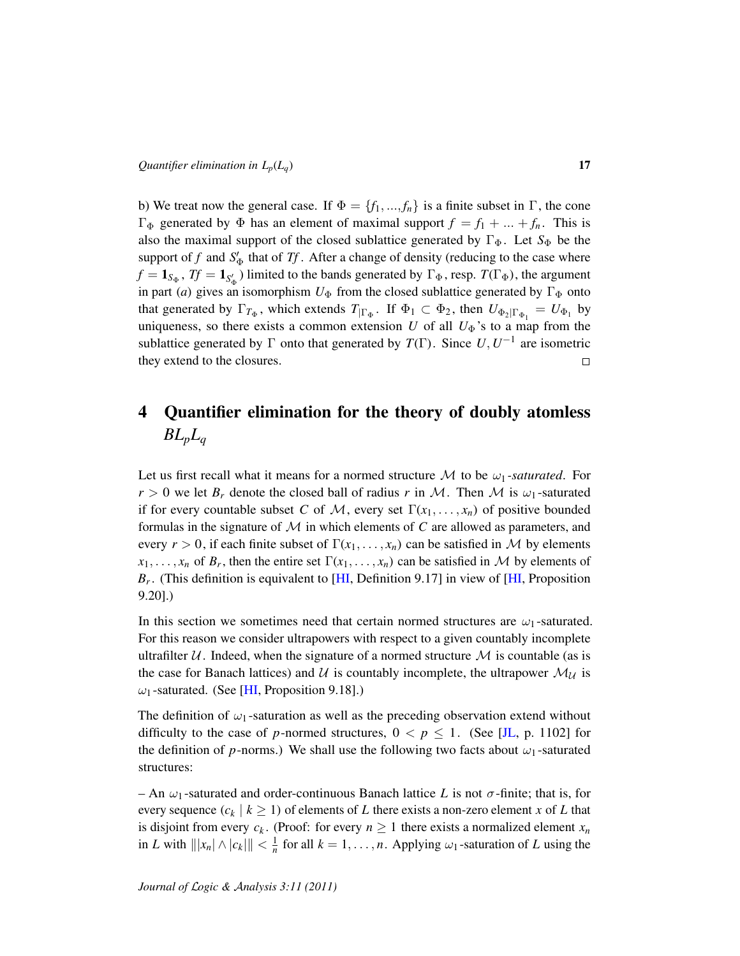b) We treat now the general case. If  $\Phi = \{f_1, ..., f_n\}$  is a finite subset in  $\Gamma$ , the cone Γ<sub>Φ</sub> generated by Φ has an element of maximal support  $f = f_1 + ... + f_n$ . This is also the maximal support of the closed sublattice generated by  $\Gamma_{\Phi}$ . Let  $S_{\Phi}$  be the support of *f* and  $S'_\Phi$  that of *Tf*. After a change of density (reducing to the case where  $f = 1_{S_{\Phi}}$ ,  $Tf = 1_{S'_{\Phi}}$ ) limited to the bands generated by  $\Gamma_{\Phi}$ , resp.  $T(\Gamma_{\Phi})$ , the argument in part (*a*) gives an isomorphism  $U_{\Phi}$  from the closed sublattice generated by  $\Gamma_{\Phi}$  onto that generated by  $\Gamma_{T_{\Phi}}$ , which extends  $T_{|\Gamma_{\Phi}}$ . If  $\Phi_1 \subset \Phi_2$ , then  $U_{\Phi_2|\Gamma_{\Phi_1}} = U_{\Phi_1}$  by uniqueness, so there exists a common extension *U* of all  $U_{\Phi}$ 's to a map from the sublattice generated by  $\Gamma$  onto that generated by  $T(\Gamma)$ . Since  $U, U^{-1}$  are isometric they extend to the closures.  $\Box$ 

# <span id="page-16-0"></span>4 Quantifier elimination for the theory of doubly atomless  $BL_pL_q$

Let us first recall what it means for a normed structure  $\mathcal M$  to be  $\omega_1$ -saturated. For  $r > 0$  we let  $B_r$  denote the closed ball of radius *r* in M. Then M is  $\omega_1$ -saturated if for every countable subset *C* of *M*, every set  $\Gamma(x_1, \ldots, x_n)$  of positive bounded formulas in the signature of M in which elements of *C* are allowed as parameters, and every  $r > 0$ , if each finite subset of  $\Gamma(x_1, \ldots, x_n)$  can be satisfied in M by elements  $x_1, \ldots, x_n$  of  $B_r$ , then the entire set  $\Gamma(x_1, \ldots, x_n)$  can be satisfied in M by elements of *Br* . (This definition is equivalent to [\[HI,](#page-28-2) Definition 9.17] in view of [\[HI,](#page-28-2) Proposition 9.20].)

In this section we sometimes need that certain normed structures are  $\omega_1$ -saturated. For this reason we consider ultrapowers with respect to a given countably incomplete ultrafilter  $U$ . Indeed, when the signature of a normed structure  $M$  is countable (as is the case for Banach lattices) and U is countably incomplete, the ultrapower  $\mathcal{M}_{\mathcal{U}}$  is  $\omega_1$ -saturated. (See [\[HI,](#page-28-2) Proposition 9.18].)

The definition of  $\omega_1$ -saturation as well as the preceding observation extend without difficulty to the case of *p*-normed structures,  $0 < p \le 1$ . (See [\[JL,](#page-28-12) p. 1102] for the definition of  $p$ -norms.) We shall use the following two facts about  $\omega_1$ -saturated structures:

– An  $\omega_1$ -saturated and order-continuous Banach lattice L is not  $\sigma$ -finite; that is, for every sequence  $(c_k | k \ge 1)$  of elements of *L* there exists a non-zero element *x* of *L* that is disjoint from every  $c_k$ . (Proof: for every  $n \geq 1$  there exists a normalized element  $x_n$ in *L* with  $\| |x_n| \wedge |c_k| \| < \frac{1}{n}$  for all  $k = 1, \ldots, n$ . Applying  $\omega_1$ -saturation of *L* using the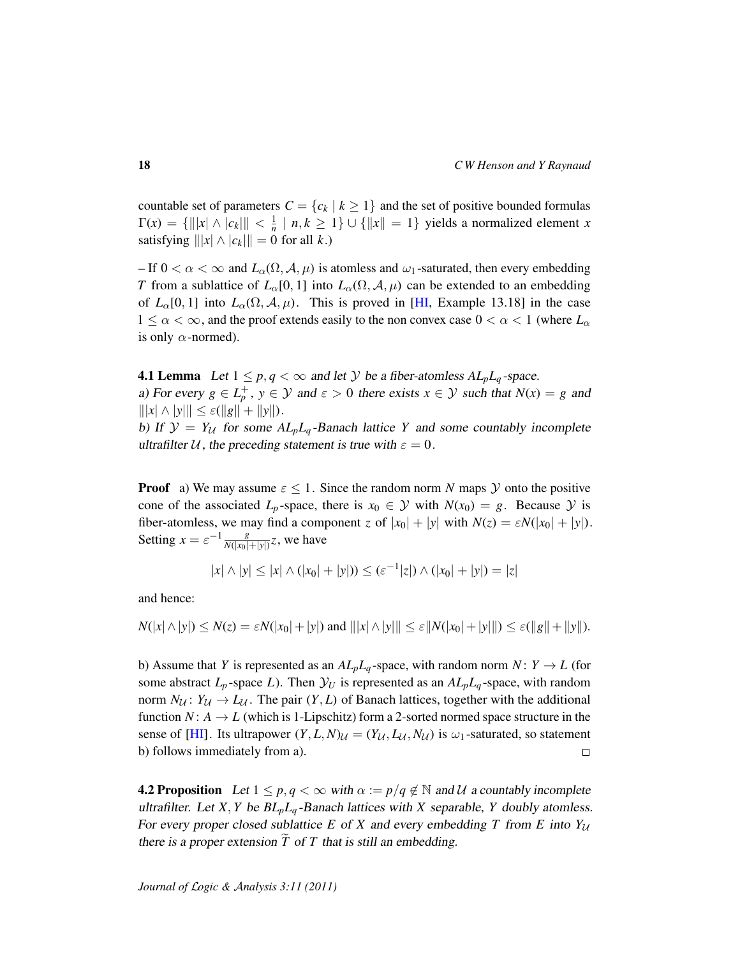countable set of parameters  $C = \{c_k | k \geq 1\}$  and the set of positive bounded formulas  $\Gamma(x) = \{ |||x| \wedge |c_k|| | < \frac{1}{n} | n, k \ge 1 \} \cup \{ ||x|| = 1 \}$  yields a normalized element *x* satisfying  $\| |x| \wedge |c_k| \| = 0$  for all *k*.)

– If  $0 < \alpha < \infty$  and  $L_{\alpha}(\Omega, \mathcal{A}, \mu)$  is atomless and  $\omega_1$ -saturated, then every embedding *T* from a sublattice of  $L_0[0, 1]$  into  $L_0(\Omega, \mathcal{A}, \mu)$  can be extended to an embedding of  $L_{\alpha}[0,1]$  into  $L_{\alpha}(\Omega, \mathcal{A}, \mu)$ . This is proved in [\[HI,](#page-28-2) Example 13.18] in the case  $1 \leq \alpha < \infty$ , and the proof extends easily to the non convex case  $0 < \alpha < 1$  (where  $L_{\alpha}$ ) is only  $\alpha$ -normed).

<span id="page-17-0"></span>**4.1 Lemma** Let  $1 \leq p, q < \infty$  and let Y be a fiber-atomless  $AL_pL_q$ -space. a) For every  $g \in L_p^+$ ,  $y \in Y$  and  $\varepsilon > 0$  there exists  $x \in Y$  such that  $N(x) = g$  and  $|||x| \wedge |y||| \leq \varepsilon(||g|| + ||y||).$ 

b) If  $\mathcal{Y} = Y_U$  for some  $AL_pL_q$ -Banach lattice *Y* and some countably incomplete ultrafilter U, the preceding statement is true with  $\varepsilon = 0$ .

**Proof** a) We may assume  $\varepsilon \leq 1$ . Since the random norm *N* maps *Y* onto the positive cone of the associated  $L_p$ -space, there is  $x_0 \in \mathcal{Y}$  with  $N(x_0) = g$ . Because  $\mathcal{Y}$  is fiber-atomless, we may find a component *z* of  $|x_0| + |y|$  with  $N(z) = \varepsilon N(|x_0| + |y|)$ . Setting  $x = \varepsilon^{-1} \frac{g}{N(|x_0|)}$  $\frac{g}{N(|x_0|+|y|)}z$ , we have

$$
|x| \wedge |y| \le |x| \wedge (|x_0| + |y|)) \le (\varepsilon^{-1} |z|) \wedge (|x_0| + |y|) = |z|
$$

and hence:

$$
N(|x| \wedge |y|) \le N(z) = \varepsilon N(|x_0| + |y|)
$$
 and  $|||x| \wedge |y||| \le \varepsilon ||N(|x_0| + |y|||) \le \varepsilon (||g|| + ||y||).$ 

b) Assume that *Y* is represented as an  $AL_pL_q$ -space, with random norm *N* :  $Y \rightarrow L$  (for some abstract  $L_p$ -space  $L$ ). Then  $\mathcal{Y}_U$  is represented as an  $AL_pL_q$ -space, with random norm  $N_{\mathcal{U}}$ :  $Y_{\mathcal{U}} \to L_{\mathcal{U}}$ . The pair  $(Y, L)$  of Banach lattices, together with the additional function  $N: A \rightarrow L$  (which is 1-Lipschitz) form a 2-sorted normed space structure in the sense of [\[HI\]](#page-28-2). Its ultrapower  $(Y, L, N)$  $\mathcal{U} = (Y_{\mathcal{U}}, L_{\mathcal{U}}, N_{\mathcal{U}})$  is  $\mathcal{U}_1$ -saturated, so statement b) follows immediately from a).  $\Box$ 

<span id="page-17-1"></span>**4.2 Proposition** Let  $1 \leq p, q < \infty$  with  $\alpha := p/q \notin \mathbb{N}$  and U a countably incomplete ultrafilter. Let *X*, *Y* be  $BL_pL_q$ -Banach lattices with *X* separable, *Y* doubly atomless. For every proper closed sublattice *E* of *X* and every embedding *T* from *E* into  $Y_{\mathcal{U}}$ there is a proper extension  $\overline{T}$  of  $T$  that is still an embedding.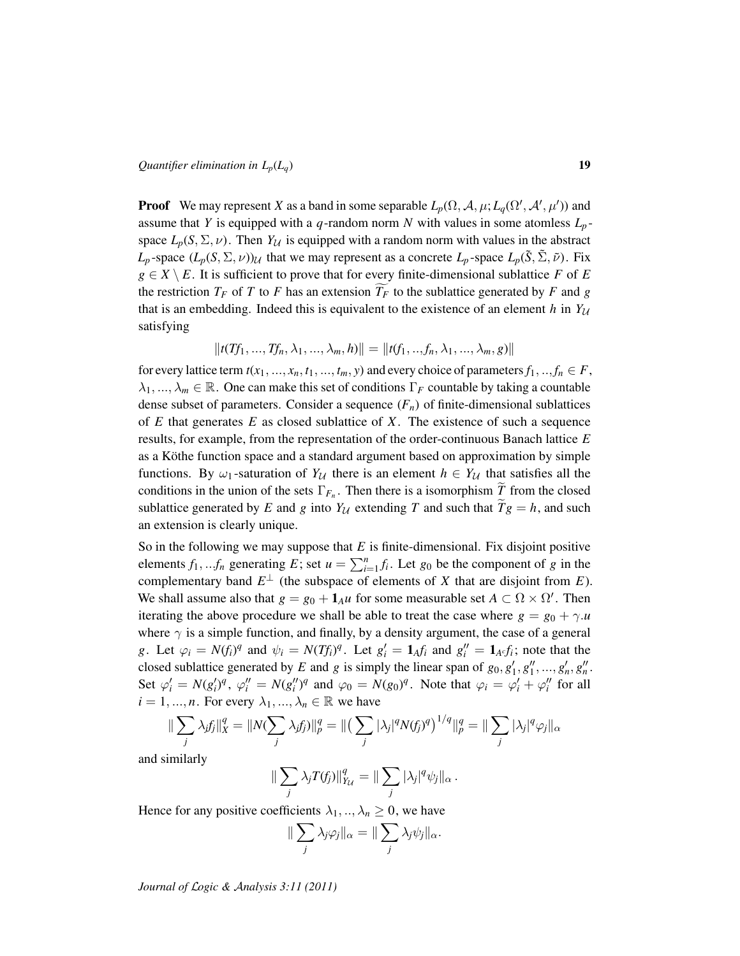**Proof** We may represent *X* as a band in some separable  $L_p(\Omega, \mathcal{A}, \mu; L_q(\Omega', \mathcal{A}', \mu'))$  and assume that *Y* is equipped with a *q*-random norm *N* with values in some atomless  $L_p$ space  $L_p(S, \Sigma, \nu)$ . Then  $Y_{\mathcal{U}}$  is equipped with a random norm with values in the abstract *L*<sub>p</sub> -space  $(L_p(S, \Sigma, \nu))$ <sub>U</sub> that we may represent as a concrete  $L_p$ -space  $L_p(\tilde{S}, \tilde{\Sigma}, \tilde{\nu})$ . Fix  $g \in X \setminus E$ . It is sufficient to prove that for every finite-dimensional sublattice *F* of *E* the restriction  $T_F$  of *T* to *F* has an extension  $T_F$  to the sublattice generated by *F* and *g* that is an embedding. Indeed this is equivalent to the existence of an element  $h$  in  $Y_{\mathcal{U}}$ satisfying

$$
||t(Tf_1, ..., Tf_n, \lambda_1, ..., \lambda_m, h)|| = ||t(f_1, ..., f_n, \lambda_1, ..., \lambda_m, g)||
$$

for every lattice term  $t(x_1, ..., x_n, t_1, ..., t_m, y)$  and every choice of parameters  $f_1, ..., f_n \in F$ ,  $\lambda_1, ..., \lambda_m \in \mathbb{R}$ . One can make this set of conditions  $\Gamma_F$  countable by taking a countable dense subset of parameters. Consider a sequence  $(F_n)$  of finite-dimensional sublattices of *E* that generates *E* as closed sublattice of *X*. The existence of such a sequence results, for example, from the representation of the order-continuous Banach lattice *E* as a Köthe function space and a standard argument based on approximation by simple functions. By  $\omega_1$ -saturation of  $Y_U$  there is an element  $h \in Y_U$  that satisfies all the conditions in the union of the sets  $\Gamma_{F_n}$ . Then there is a isomorphism *T* from the closed sublattice generated by *E* and *g* into  $Y_{\mathcal{U}}$  extending *T* and such that  $\tilde{T}g = h$ , and such an extension is clearly unique.

So in the following we may suppose that *E* is finite-dimensional. Fix disjoint positive elements  $f_1, \ldots, f_n$  generating  $E$ ; set  $u = \sum_{i=1}^n f_i$ . Let  $g_0$  be the component of  $g$  in the complementary band  $E^{\perp}$  (the subspace of elements of *X* that are disjoint from *E*). We shall assume also that  $g = g_0 + \mathbf{1}_A u$  for some measurable set  $A \subset \Omega \times \Omega'$ . Then iterating the above procedure we shall be able to treat the case where  $g = g_0 + \gamma \cdot u$ where  $\gamma$  is a simple function, and finally, by a density argument, the case of a general g. Let  $\varphi_i = N(f_i)^q$  and  $\psi_i = N(Tf_i)^q$ . Let  $g'_i = \mathbf{1}_A f_i$  and  $g''_i = \mathbf{1}_{A^c} f_i$ ; note that the closed sublattice generated by *E* and *g* is simply the linear span of  $g_0, g'_1, g''_1, ..., g'_n, g''_n$ . Set  $\varphi'_i = N(g'_i)^q$ ,  $\varphi''_i = N(g''_i)^q$  and  $\varphi_0 = N(g_0)^q$ . Note that  $\varphi_i = \varphi'_i + \varphi''_i$  for all  $i = 1, ..., n$ . For every  $\lambda_1, ..., \lambda_n \in \mathbb{R}$  we have

$$
\|\sum_j \lambda_j f_j\|_X^q = \|N(\sum_j \lambda_j f_j)\|_p^q = \|\left(\sum_j |\lambda_j|^q N(f_j)^q\right)^{1/q}\|_p^q = \|\sum_j |\lambda_j|^q \varphi_j\|_{\alpha}
$$

and similarly

$$
\|\sum_j \lambda_j T(f_j)\|_{Y_{\mathcal U}}^q = \|\sum_j |\lambda_j|^q \psi_j\|_{\alpha}.
$$

Hence for any positive coefficients  $\lambda_1, \dots, \lambda_n \geq 0$ , we have

$$
\|\sum_j \lambda_j \varphi_j\|_{\alpha} = \|\sum_j \lambda_j \psi_j\|_{\alpha}.
$$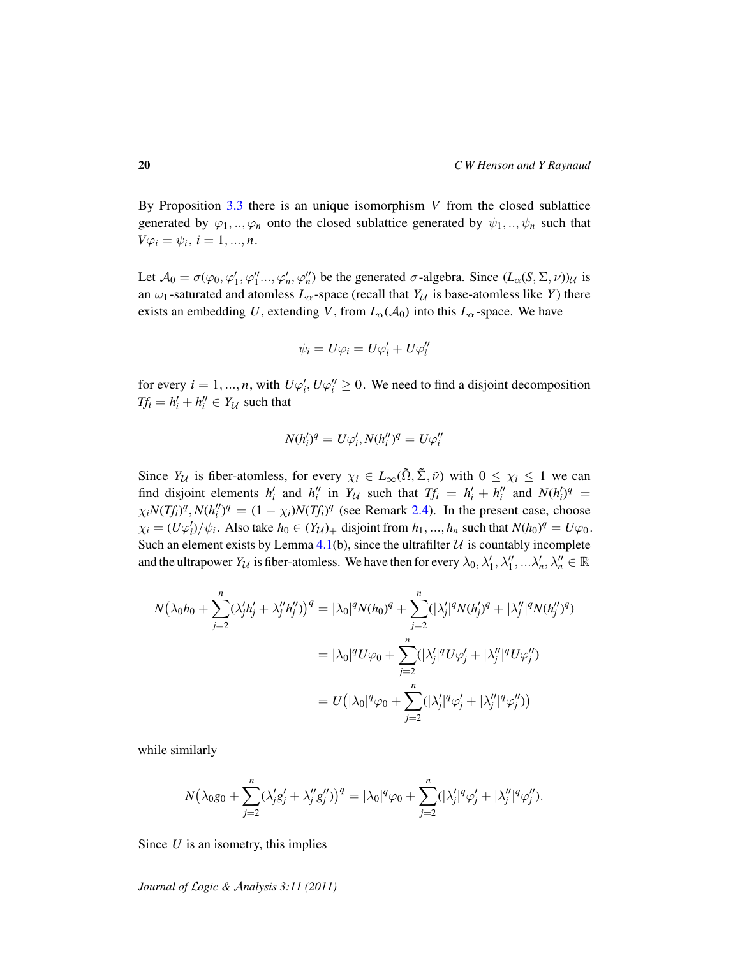By Proposition [3.3](#page-15-0) there is an unique isomorphism *V* from the closed sublattice generated by  $\varphi_1, \ldots, \varphi_n$  onto the closed sublattice generated by  $\psi_1, \ldots, \psi_n$  such that  $V\varphi_i = \psi_i, i = 1, ..., n.$ 

Let  $\mathcal{A}_0 = \sigma(\varphi_0, \varphi_1', \varphi_1'', \ldots, \varphi_n', \varphi_n'')$  be the generated  $\sigma$ -algebra. Since  $(L_\alpha(S, \Sigma, \nu))_{\mathcal{U}}$  is an  $\omega_1$ -saturated and atomless  $L_\alpha$ -space (recall that  $Y_\mathcal{U}$  is base-atomless like *Y*) there exists an embedding *U*, extending *V*, from  $L_{\alpha}(A_0)$  into this  $L_{\alpha}$ -space. We have

$$
\psi_i = U\varphi_i = U\varphi'_i + U\varphi''_i
$$

for every  $i = 1, ..., n$ , with  $U\varphi'_i, U\varphi''_i \ge 0$ . We need to find a disjoint decomposition  $Tf_i = h'_i + h''_i \in Y_U$  such that

$$
N(h'_i)^q = U\varphi'_i, N(h''_i)^q = U\varphi''_i
$$

Since  $Y_{\mathcal{U}}$  is fiber-atomless, for every  $\chi_i \in L_\infty(\tilde{\Omega}, \tilde{\Sigma}, \tilde{\nu})$  with  $0 \leq \chi_i \leq 1$  we can find disjoint elements  $h'_i$  and  $h''_i$  in  $Y_{\mathcal{U}}$  such that  $Tf_i = h'_i + h''_i$  and  $N(h'_i)^q =$  $\chi_i N(Tf_i)^q$ ,  $N(h_i'')^q = (1 - \chi_i) N(Tf_i)^q$  (see Remark [2.4\)](#page-8-1). In the present case, choose  $\chi_i = (U\varphi'_i)/\psi_i$ . Also take  $h_0 \in (Y_{\mathcal{U}})_+$  disjoint from  $h_1, ..., h_n$  such that  $N(h_0)^q = U\varphi_0$ . Such an element exists by Lemma [4.1\(](#page-17-0)b), since the ultrafilter  $U$  is countably incomplete and the ultrapower  $Y_{\mathcal{U}}$  is fiber-atomless. We have then for every  $\lambda_0, \lambda'_1, \lambda''_1, \ldots, \lambda'_n, \lambda''_n \in \mathbb{R}$ 

$$
N(\lambda_0 h_0 + \sum_{j=2}^n (\lambda'_j h'_j + \lambda''_j h''_j))^q = |\lambda_0|^q N(h_0)^q + \sum_{j=2}^n (|\lambda'_j|^q N(h'_j)^q + |\lambda''_j|^q N(h''_j)^q)
$$
  

$$
= |\lambda_0|^q U \varphi_0 + \sum_{j=2}^n (|\lambda'_j|^q U \varphi'_j + |\lambda''_j|^q U \varphi''_j)
$$
  

$$
= U(|\lambda_0|^q \varphi_0 + \sum_{j=2}^n (|\lambda'_j|^q \varphi'_j + |\lambda''_j|^q \varphi''_j))
$$

while similarly

$$
N(\lambda_0 g_0 + \sum_{j=2}^n (\lambda'_j g'_j + \lambda''_j g''_j))^q = |\lambda_0|^q \varphi_0 + \sum_{j=2}^n (|\lambda'_j|^q \varphi'_j + |\lambda''_j|^q \varphi''_j).
$$

Since *U* is an isometry, this implies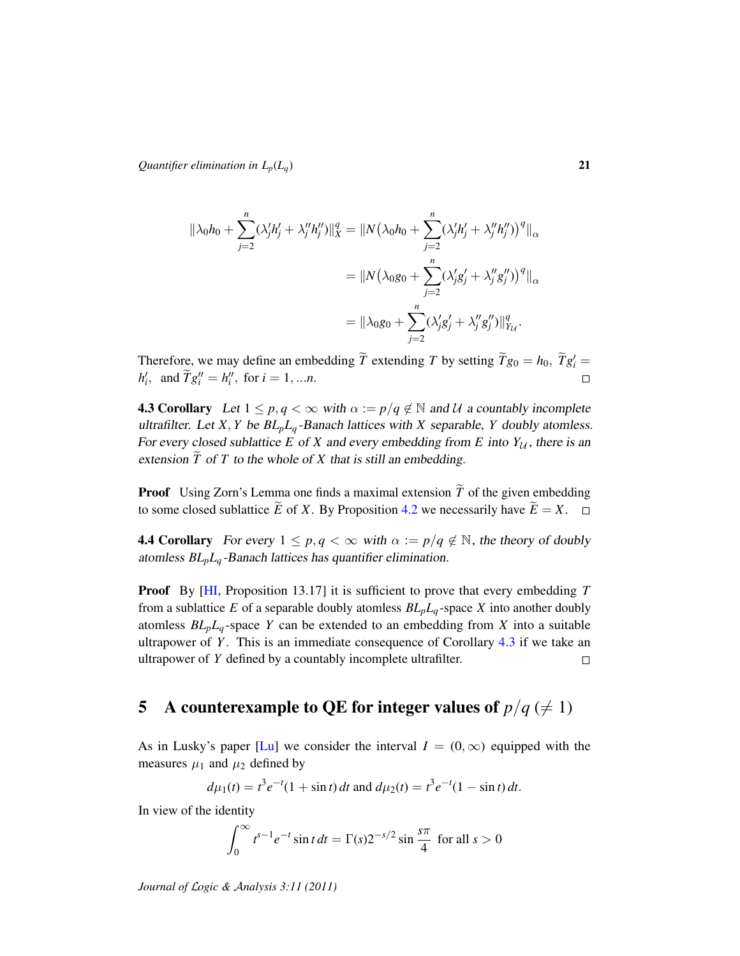$$
\|\lambda_0 h_0 + \sum_{j=2}^n (\lambda'_j h'_j + \lambda''_j h''_j) \|_X^q = \|N(\lambda_0 h_0 + \sum_{j=2}^n (\lambda'_j h'_j + \lambda''_j h''_j))^q \|_{\alpha}
$$
  

$$
= \|N(\lambda_0 g_0 + \sum_{j=2}^n (\lambda'_j g'_j + \lambda''_j g''_j))^q \|_{\alpha}
$$
  

$$
= \|\lambda_0 g_0 + \sum_{j=2}^n (\lambda'_j g'_j + \lambda''_j g''_j) \|_{Y_{\mathcal{U}}}^q.
$$

Therefore, we may define an embedding  $\widetilde{T}$  extending *T* by setting  $\widetilde{T}g_0 = h_0$ ,  $\widetilde{T}g'_i = h'_i$  $h'_{i}$ , and  $\widetilde{T}g''_{i} = h''_{i}$ , for  $i = 1, ...n$ .  $\Box$ 

<span id="page-20-2"></span>**4.3 Corollary** Let  $1 \leq p, q < \infty$  with  $\alpha := p/q \notin \mathbb{N}$  and U a countably incomplete ultrafilter. Let *X*, *Y* be  $BL_pL_q$ -Banach lattices with *X* separable, *Y* doubly atomless. For every closed sublattice  $E$  of  $X$  and every embedding from  $E$  into  $Y_{\mathcal{U}}$ , there is an extension  $\widetilde{T}$  of  $T$  to the whole of  $X$  that is still an embedding.

**Proof** Using Zorn's Lemma one finds a maximal extension  $\widetilde{T}$  of the given embedding to some closed sublattice  $\widetilde{E}$  of X. By Proposition 4.2 we necessarily have  $\widetilde{E} = X$ . to some closed sublattice  $\widetilde{E}$  of *X*. By Proposition [4.2](#page-17-1) we necessarily have  $\widetilde{E} = X$ .

<span id="page-20-0"></span>**4.4 Corollary** For every  $1 \leq p, q < \infty$  with  $\alpha := p/q \notin \mathbb{N}$ , the theory of doubly atomless *BLpL<sup>q</sup>* -Banach lattices has quantifier elimination.

Proof By [\[HI,](#page-28-2) Proposition 13.17] it is sufficient to prove that every embedding *T* from a sublattice *E* of a separable doubly atomless  $BL_pL_q$ -space *X* into another doubly atomless  $BL_pL_q$ -space *Y* can be extended to an embedding from *X* into a suitable ultrapower of *Y* . This is an immediate consequence of Corollary [4.3](#page-20-2) if we take an ultrapower of *Y* defined by a countably incomplete ultrafilter.  $\Box$ 

# <span id="page-20-1"></span>5 A counterexample to QE for integer values of  $p/q \neq 1$ )

As in Lusky's paper [\[Lu\]](#page-28-13) we consider the interval  $I = (0, \infty)$  equipped with the measures  $\mu_1$  and  $\mu_2$  defined by

$$
d\mu_1(t) = t^3 e^{-t} (1 + \sin t) dt
$$
 and 
$$
d\mu_2(t) = t^3 e^{-t} (1 - \sin t) dt
$$
.

In view of the identity

$$
\int_0^{\infty} t^{s-1} e^{-t} \sin t \, dt = \Gamma(s) 2^{-s/2} \sin \frac{s\pi}{4} \text{ for all } s > 0
$$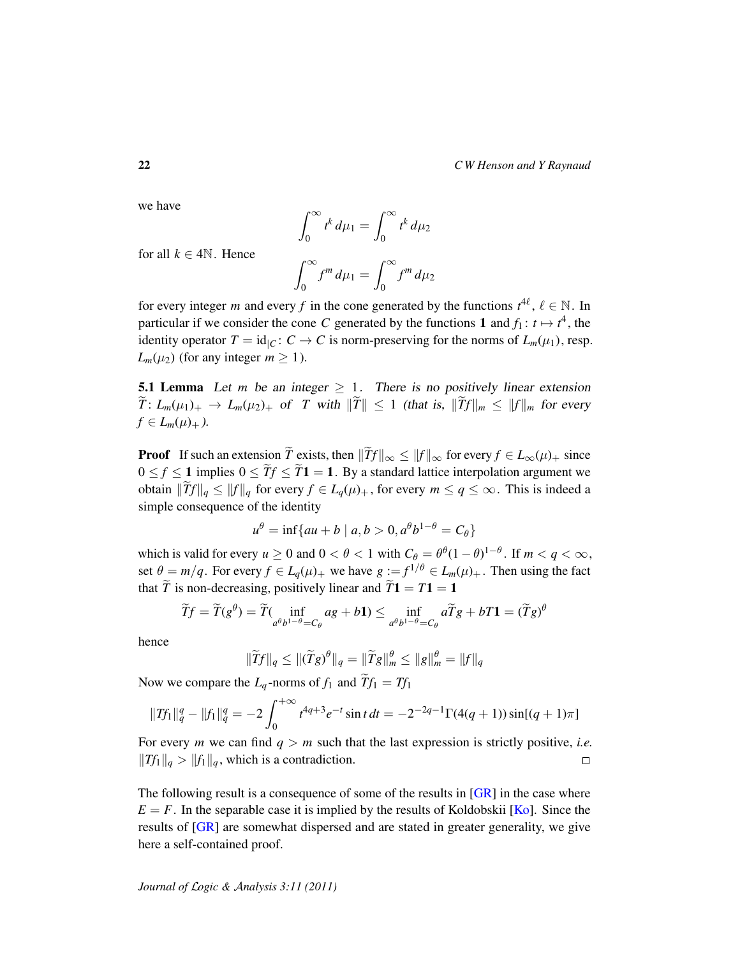we have

$$
\int_0^\infty t^k\,d\mu_1=\int_0^\infty t^k\,d\mu_2
$$

for all  $k \in 4\mathbb{N}$ . Hence

$$
\int_0^\infty f^m d\mu_1 = \int_0^\infty f^m d\mu_2
$$

for every integer *m* and every *f* in the cone generated by the functions  $t^{4\ell}$ ,  $\ell \in \mathbb{N}$ . In particular if we consider the cone *C* generated by the functions 1 and  $f_1: t \mapsto t^4$ , the identity operator  $T = id_{|C} : C \to C$  is norm-preserving for the norms of  $L_m(\mu_1)$ , resp. *L*<sup>m</sup>( $\mu$ <sub>2</sub>) (for any integer *m*  $\geq$  1).

<span id="page-21-0"></span>**5.1 Lemma** Let *m* be an integer  $\geq 1$ . There is no positively linear extension  $\widetilde{T}: L_m(\mu_1)_+ \to L_m(\mu_2)_+$  of *T* with  $\|\widetilde{T}\| \leq 1$  (that is,  $\|\widetilde{T}f\|_m \leq \|f\|_m$  for every  $f \in L_m(\mu)_+$ .

**Proof** If such an extension  $\widetilde{T}$  exists, then  $\|\widetilde{T}f\|_{\infty} \leq \|f\|_{\infty}$  for every  $f \in L_{\infty}(\mu)_{+}$  since  $0 \le f \le 1$  implies  $0 \le \widetilde{T}f \le \widetilde{T}1 = 1$ . By a standard lattice interpolation argument we obtain  $\|\widetilde{T}f\|_q \leq \|f\|_q$  for every  $f \in L_q(\mu)_+$ , for every  $m \leq q \leq \infty$ . This is indeed a simple consequence of the identity

$$
u^{\theta} = \inf\{au + b \mid a, b > 0, a^{\theta}b^{1-\theta} = C_{\theta}\}\
$$

which is valid for every  $u \ge 0$  and  $0 < \theta < 1$  with  $C_{\theta} = \theta^{\theta} (1 - \theta)^{1 - \theta}$ . If  $m < q < \infty$ , set  $\theta = m/q$ . For every  $f \in L_q(\mu)_+$  we have  $g := f^{1/\theta} \in L_m(\mu)_+$ . Then using the fact that  $\tilde{T}$  is non-decreasing, positively linear and  $\tilde{T}$ **1** = *T***1** = **1** 

$$
\widetilde{T}f = \widetilde{T}(g^{\theta}) = \widetilde{T}(\inf_{a^{\theta}b^{1-\theta}=C_{\theta}}ag + b\mathbf{1}) \le \inf_{a^{\theta}b^{1-\theta}=C_{\theta}}a\widetilde{T}g + bT\mathbf{1} = (\widetilde{T}g)^{\theta}
$$

hence

$$
\|\widetilde{T}f\|_q \leq \|(\widetilde{T}g)^{\theta}\|_q = \|\widetilde{T}g\|_m^{\theta} \leq \|g\|_m^{\theta} = \|f\|_q
$$

Now we compare the  $L_q$ -norms of  $f_1$  and  $Tf_1 = Tf_1$ 

$$
||Tf_1||_q^q - ||f_1||_q^q = -2 \int_0^{+\infty} t^{4q+3} e^{-t} \sin t \, dt = -2^{-2q-1} \Gamma(4(q+1)) \sin[(q+1)\pi]
$$

For every *m* we can find  $q > m$  such that the last expression is strictly positive, *i.e.*  $||Tf_1||_q > ||f_1||_q$ , which is a contradiction.  $\Box$ 

The following result is a consequence of some of the results in [\[GR\]](#page-27-2) in the case where  $E = F$ . In the separable case it is implied by the results of Koldobskii [ $K_0$ ]. Since the results of [\[GR\]](#page-27-2) are somewhat dispersed and are stated in greater generality, we give here a self-contained proof.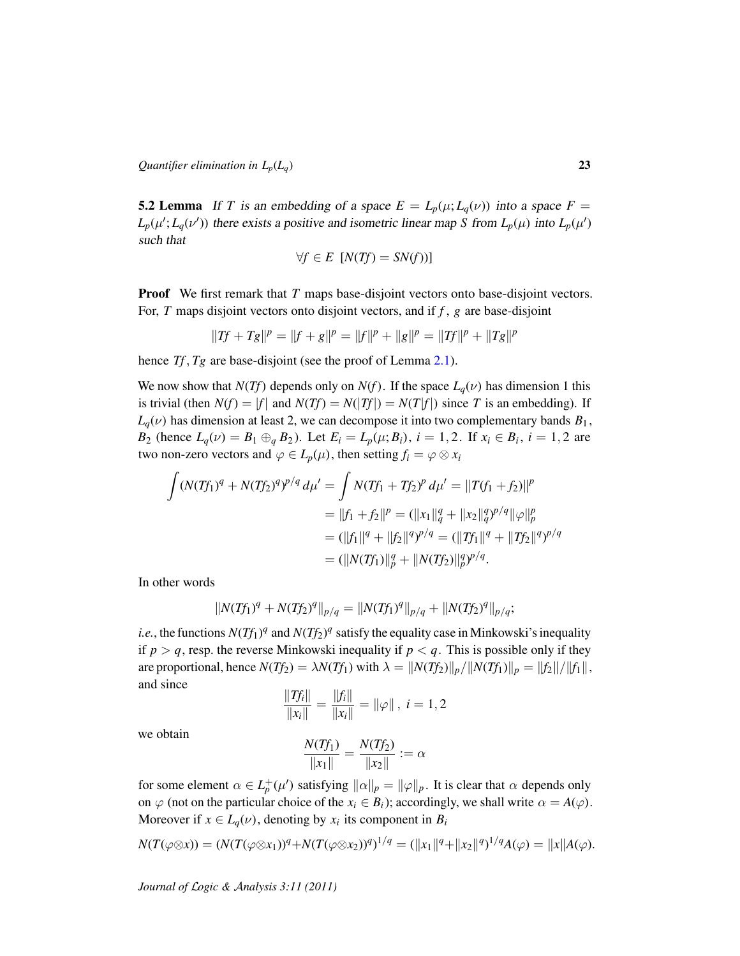<span id="page-22-0"></span>**5.2 Lemma** If *T* is an embedding of a space  $E = L_p(\mu; L_q(\nu))$  into a space  $F =$  $L_p(\mu'; L_q(\nu'))$  there exists a positive and isometric linear map *S* from  $L_p(\mu)$  into  $L_p(\mu')$ such that

$$
\forall f \in E \ [N(Tf) = SN(f))]
$$

**Proof** We first remark that *T* maps base-disjoint vectors onto base-disjoint vectors. For, *T* maps disjoint vectors onto disjoint vectors, and if *f* , *g* are base-disjoint

$$
||Tf + Tg||p = ||f + g||p = ||f||p + ||g||p = ||Tf||p + ||Tg||p
$$

hence *Tf*, *Tg* are base-disjoint (see the proof of Lemma [2.1\)](#page-6-0).

We now show that *N*(*Tf*) depends only on *N*(*f*). If the space  $L_q(\nu)$  has dimension 1 this is trivial (then  $N(f) = |f|$  and  $N(Tf) = N(|Tf|) = N(T|f|)$  since *T* is an embedding). If  $L_q(\nu)$  has dimension at least 2, we can decompose it into two complementary bands  $B_1$ , *B*<sub>2</sub> (hence  $L_q(\nu) = B_1 \oplus_q B_2$ ). Let  $E_i = L_p(\mu; B_i)$ ,  $i = 1, 2$ . If  $x_i \in B_i$ ,  $i = 1, 2$  are two non-zero vectors and  $\varphi \in L_p(\mu)$ , then setting  $f_i = \varphi \otimes x_i$ 

$$
\int (N(Tf_1)^q + N(Tf_2)^q)^{p/q} d\mu' = \int N(Tf_1 + Tf_2)^p d\mu' = ||T(f_1 + f_2)||^p
$$
  
\n
$$
= ||f_1 + f_2||^p = (||x_1||_q^q + ||x_2||_q^q)^{p/q} ||\varphi||_p^p
$$
  
\n
$$
= (||f_1||^q + ||f_2||^q)^{p/q} = (||Tf_1||^q + ||Tf_2||^q)^{p/q}
$$
  
\n
$$
= (||N(Tf_1)||_p^q + ||N(Tf_2)||_p^q)^{p/q}.
$$

In other words

$$
||N(Tf_1)^q + N(Tf_2)^q||_{p/q} = ||N(Tf_1)^q||_{p/q} + ||N(Tf_2)^q||_{p/q};
$$

*i.e.*, the functions  $N(Tf_1)^q$  and  $N(Tf_2)^q$  satisfy the equality case in Minkowski's inequality if  $p > q$ , resp. the reverse Minkowski inequality if  $p < q$ . This is possible only if they are proportional, hence  $N(Tf_2) = \lambda N(Tf_1)$  with  $\lambda = ||N(Tf_2)||_p / ||N(Tf_1)||_p = ||f_2|| / ||f_1||$ , and since k*fi*k

$$
\frac{\|Tf_i\|}{\|x_i\|} = \frac{\|f_i\|}{\|x_i\|} = \|\varphi\| \, , \, i = 1, 2
$$

we obtain

$$
\frac{N(Tf_1)}{\|x_1\|} = \frac{N(Tf_2)}{\|x_2\|} := \alpha
$$

for some element  $\alpha \in L_p^+(\mu')$  satisfying  $\|\alpha\|_p = \|\varphi\|_p$ . It is clear that  $\alpha$  depends only on  $\varphi$  (not on the particular choice of the  $x_i \in B_i$ ); accordingly, we shall write  $\alpha = A(\varphi)$ . Moreover if  $x \in L_q(\nu)$ , denoting by  $x_i$  its component in  $B_i$ 

$$
N(T(\varphi \otimes x)) = (N(T(\varphi \otimes x_1))^q + N(T(\varphi \otimes x_2))^q)^{1/q} = (||x_1||^q + ||x_2||^q)^{1/q} A(\varphi) = ||x|| A(\varphi).
$$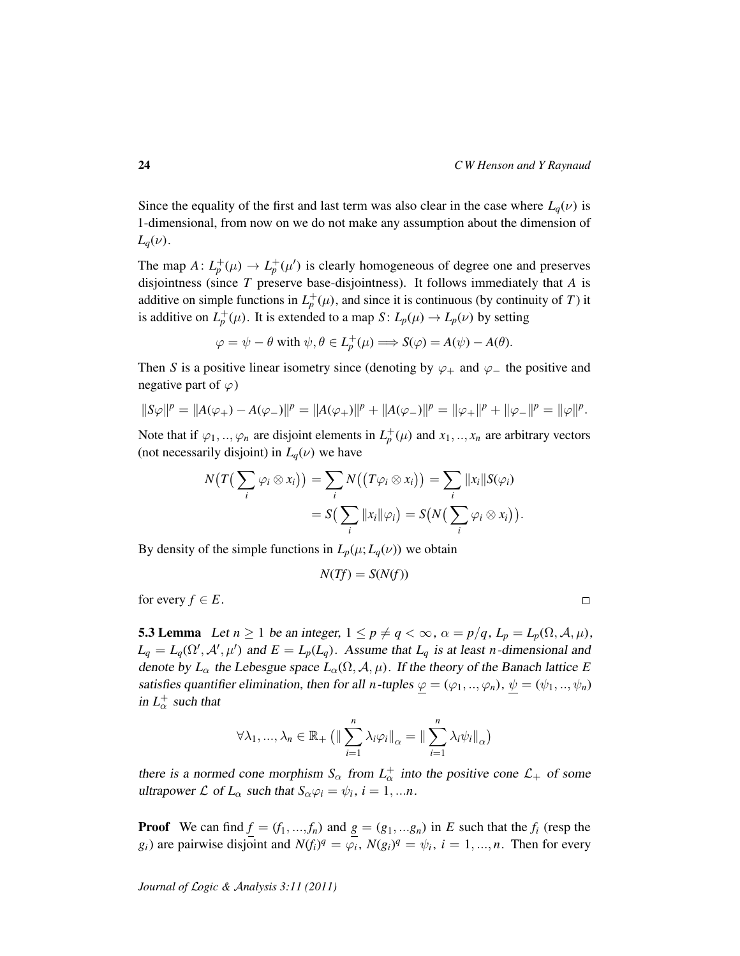Since the equality of the first and last term was also clear in the case where  $L_q(\nu)$  is 1-dimensional, from now on we do not make any assumption about the dimension of  $L_q(\nu)$ .

The map  $A: L_p^+(\mu) \to L_p^+(\mu')$  is clearly homogeneous of degree one and preserves disjointness (since *T* preserve base-disjointness). It follows immediately that *A* is additive on simple functions in  $L_p^+(\mu)$ , and since it is continuous (by continuity of *T*) it is additive on  $L_p^+(\mu)$ . It is extended to a map  $S: L_p(\mu) \to L_p(\nu)$  by setting

$$
\varphi = \psi - \theta \text{ with } \psi, \theta \in L_p^+(\mu) \Longrightarrow S(\varphi) = A(\psi) - A(\theta).
$$

Then *S* is a positive linear isometry since (denoting by  $\varphi_+$  and  $\varphi_-$  the positive and negative part of  $\varphi$ )

$$
||S\varphi||^p = ||A(\varphi_+) - A(\varphi_-)||^p = ||A(\varphi_+)||^p + ||A(\varphi_-)||^p = ||\varphi_+||^p + ||\varphi_-||^p = ||\varphi||^p.
$$

Note that if  $\varphi_1, ..., \varphi_n$  are disjoint elements in  $L_p^+(\mu)$  and  $x_1, ..., x_n$  are arbitrary vectors (not necessarily disjoint) in  $L_q(\nu)$  we have

$$
N(T(\sum_i \varphi_i \otimes x_i)) = \sum_i N((T\varphi_i \otimes x_i)) = \sum_i ||x_i||S(\varphi_i)|
$$
  
=  $S(\sum_i ||x_i||\varphi_i) = S(N(\sum_i \varphi_i \otimes x_i)).$ 

By density of the simple functions in  $L_p(\mu; L_q(\nu))$  we obtain

$$
N(Tf) = S(N(f))
$$

for every  $f \in E$ .

<span id="page-23-0"></span>**5.3 Lemma** Let  $n \ge 1$  be an integer,  $1 \le p \ne q < \infty$ ,  $\alpha = p/q$ ,  $L_p = L_p(\Omega, \mathcal{A}, \mu)$ ,  $L_q = L_q(\Omega', \mathcal{A}', \mu')$  and  $E = L_p(L_q)$ . Assume that  $L_q$  is at least *n*-dimensional and denote by  $L_{\alpha}$  the Lebesgue space  $L_{\alpha}(\Omega, \mathcal{A}, \mu)$ . If the theory of the Banach lattice *E* satisfies quantifier elimination, then for all *n*-tuples  $\varphi = (\varphi_1, ..., \varphi_n)$ ,  $\psi = (\psi_1, ..., \psi_n)$ in  $L^{\dagger}_{\alpha}$  such that

$$
\forall \lambda_1, ..., \lambda_n \in \mathbb{R}_+ \left( \left\| \sum_{i=1}^n \lambda_i \varphi_i \right\|_{\alpha} = \left\| \sum_{i=1}^n \lambda_i \psi_i \right\|_{\alpha} \right)
$$

there is a normed cone morphism  $S_{\alpha}$  from  $L_{\alpha}^{+}$  into the positive cone  $\mathcal{L}_{+}$  of some ultrapower  $\mathcal L$  of  $L_\alpha$  such that  $S_\alpha \varphi_i = \psi_i$ ,  $i = 1, ...n$ .

**Proof** We can find  $f = (f_1, ..., f_n)$  and  $g = (g_1, ..., g_n)$  in *E* such that the  $f_i$  (resp the *g*<sub>*i*</sub>) are pairwise disjoint and  $N(f_i)^q = \varphi_i$ ,  $N(g_i)^q = \psi_i$ ,  $i = 1, ..., n$ . Then for every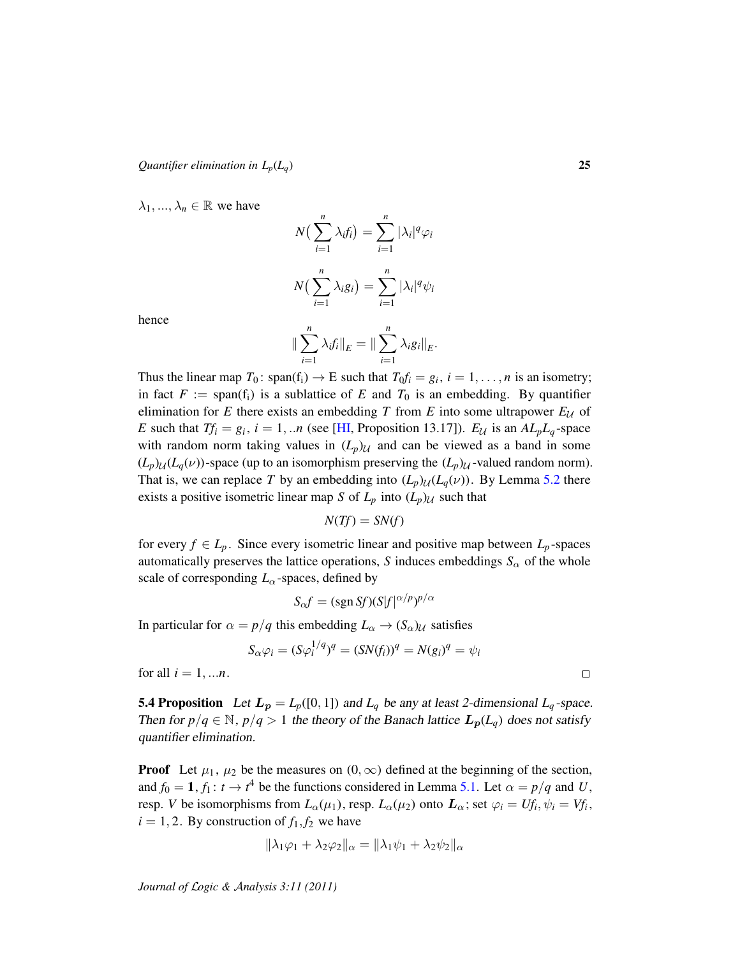$\lambda_1, ..., \lambda_n \in \mathbb{R}$  we have

$$
N\left(\sum_{i=1}^{n} \lambda_i f_i\right) = \sum_{i=1}^{n} |\lambda_i|^q \varphi_i
$$

$$
N\left(\sum_{i=1}^{n} \lambda_i g_i\right) = \sum_{i=1}^{n} |\lambda_i|^q \psi_i
$$

hence

$$
\|\sum_{i=1}^n \lambda_i f_i\|_E = \|\sum_{i=1}^n \lambda_i g_i\|_E.
$$

Thus the linear map  $T_0$ : span( $f_i$ )  $\rightarrow$  E such that  $T_0f_i = g_i$ ,  $i = 1, ..., n$  is an isometry; in fact  $F := \text{span}(f_i)$  is a sublattice of  $E$  and  $T_0$  is an embedding. By quantifier elimination for *E* there exists an embedding *T* from *E* into some ultrapower  $E_U$  of *E* such that  $Tf_i = g_i$ ,  $i = 1, ...n$  (see [\[HI,](#page-28-2) Proposition 13.17]).  $E_{\mathcal{U}}$  is an  $AL_pL_q$ -space with random norm taking values in  $(L_p)$  $\mathcal{U}$  and can be viewed as a band in some  $(L_p)_{\mathcal{U}}(L_q(\nu))$ -space (up to an isomorphism preserving the  $(L_p)_{\mathcal{U}}$ -valued random norm). That is, we can replace T by an embedding into  $(L_p)_{\mathcal{U}}(L_q(\nu))$ . By Lemma [5.2](#page-22-0) there exists a positive isometric linear map *S* of  $L_p$  into  $(L_p)$  $\mathcal{U}$  such that

$$
N(Tf) = SN(f)
$$

for every  $f \in L_p$ . Since every isometric linear and positive map between  $L_p$ -spaces automatically preserves the lattice operations, *S* induces embeddings  $S_\alpha$  of the whole scale of corresponding *L*α-spaces, defined by

$$
S_{\alpha}f = (\text{sgn}\,Sf)(S|f|^{\alpha/p})^{p/\alpha}
$$

In particular for  $\alpha = p/q$  this embedding  $L_{\alpha} \rightarrow (S_{\alpha})_{\mathcal{U}}$  satisfies

$$
S_{\alpha}\varphi_i = (S\varphi_i^{1/q})^q = (SN(f_i))^q = N(g_i)^q = \psi_i
$$

for all  $i = 1,...n$ .

<span id="page-24-0"></span>**5.4 Proposition** Let  $L_p = L_p([0, 1])$  and  $L_q$  be any at least 2-dimensional  $L_q$ -space. Then for  $p/q \in \mathbb{N}$ ,  $p/q > 1$  the theory of the Banach lattice  $L_p(L_q)$  does not satisfy quantifier elimination.

**Proof** Let  $\mu_1$ ,  $\mu_2$  be the measures on  $(0, \infty)$  defined at the beginning of the section, and  $f_0 = 1$ ,  $f_1: t \to t^4$  be the functions considered in Lemma [5.1.](#page-21-0) Let  $\alpha = p/q$  and U, resp. *V* be isomorphisms from  $L_{\alpha}(\mu_1)$ , resp.  $L_{\alpha}(\mu_2)$  onto  $\mathbf{L}_{\alpha}$ ; set  $\varphi_i = Uf_i$ ,  $\psi_i = Vf_i$ ,  $i = 1, 2$ . By construction of  $f_1, f_2$  we have

$$
\|\lambda_1\varphi_1 + \lambda_2\varphi_2\|_{\alpha} = \|\lambda_1\psi_1 + \lambda_2\psi_2\|_{\alpha}
$$

*Journal of* L*ogic &* A*nalysis 3:11 (2011)*

 $\Box$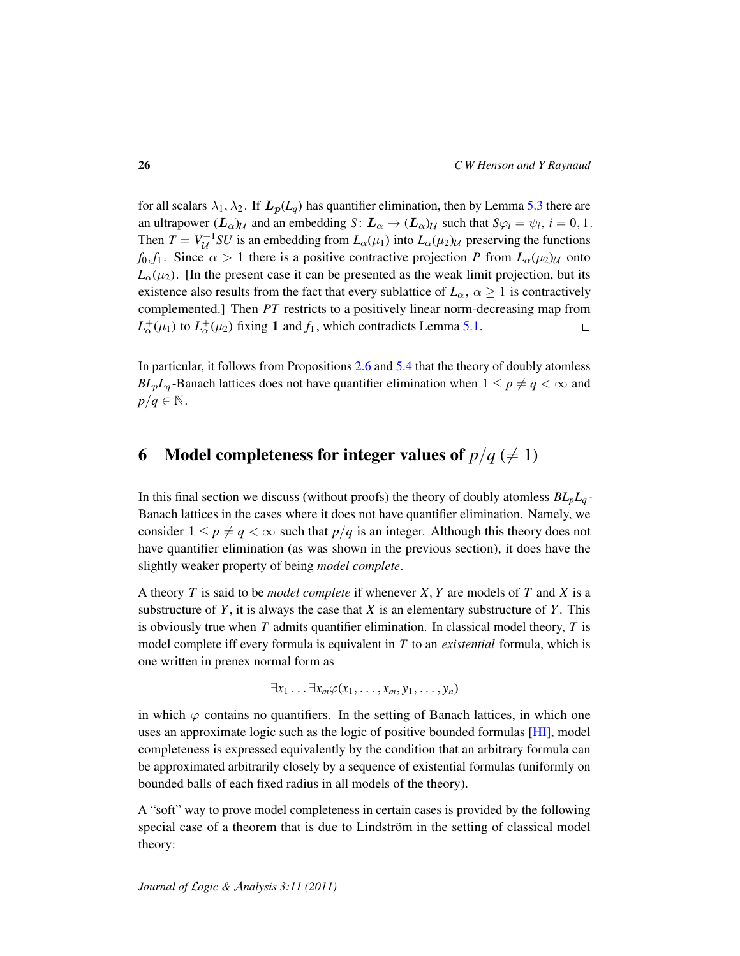for all scalars  $\lambda_1, \lambda_2$ . If  $L_p(L_q)$  has quantifier elimination, then by Lemma [5.3](#page-23-0) there are an ultrapower  $(L_\alpha)_{\mathcal{U}}$  and an embedding  $S\colon L_\alpha\to (L_\alpha)_{\mathcal{U}}$  such that  $S\varphi_i=\psi_i, i=0,1$ . Then  $T = V_U^{-1}SU$  is an embedding from  $L_\alpha(\mu_1)$  into  $L_\alpha(\mu_2)_{\mathcal{U}}$  preserving the functions *f*<sub>0</sub>, *f*<sub>1</sub>. Since  $\alpha > 1$  there is a positive contractive projection *P* from  $L_{\alpha}(\mu_2)_{\mathcal{U}}$  onto  $L_{\alpha}(\mu_2)$ . [In the present case it can be presented as the weak limit projection, but its existence also results from the fact that every sublattice of  $L_{\alpha}$ ,  $\alpha \geq 1$  is contractively complemented.] Then *PT* restricts to a positively linear norm-decreasing map from  $L^+_{\alpha}(\mu_1)$  to  $L^+_{\alpha}(\mu_2)$  fixing 1 and  $f_1$ , which contradicts Lemma [5.1.](#page-21-0)  $\Box$ 

In particular, it follows from Propositions [2.6](#page-10-0) and [5.4](#page-24-0) that the theory of doubly atomless *BL<sub>p</sub>L<sub>q</sub>*-Banach lattices does not have quantifier elimination when  $1 \leq p \neq q < \infty$  and  $p/q \in \mathbb{N}$ .

# <span id="page-25-0"></span>6 Model completeness for integer values of  $p/q \neq 1$ )

In this final section we discuss (without proofs) the theory of doubly atomless *BLpL<sup>q</sup>* - Banach lattices in the cases where it does not have quantifier elimination. Namely, we consider  $1 \leq p \neq q < \infty$  such that  $p/q$  is an integer. Although this theory does not have quantifier elimination (as was shown in the previous section), it does have the slightly weaker property of being *model complete*.

A theory *T* is said to be *model complete* if whenever *X*, *Y* are models of *T* and *X* is a substructure of  $Y$ , it is always the case that  $X$  is an elementary substructure of  $Y$ . This is obviously true when *T* admits quantifier elimination. In classical model theory, *T* is model complete iff every formula is equivalent in *T* to an *existential* formula, which is one written in prenex normal form as

 $\exists x_1 \ldots \exists x_m \varphi(x_1, \ldots, x_m, y_1, \ldots, y_n)$ 

in which  $\varphi$  contains no quantifiers. In the setting of Banach lattices, in which one uses an approximate logic such as the logic of positive bounded formulas [\[HI\]](#page-28-2), model completeness is expressed equivalently by the condition that an arbitrary formula can be approximated arbitrarily closely by a sequence of existential formulas (uniformly on bounded balls of each fixed radius in all models of the theory).

A "soft" way to prove model completeness in certain cases is provided by the following special case of a theorem that is due to Lindström in the setting of classical model theory: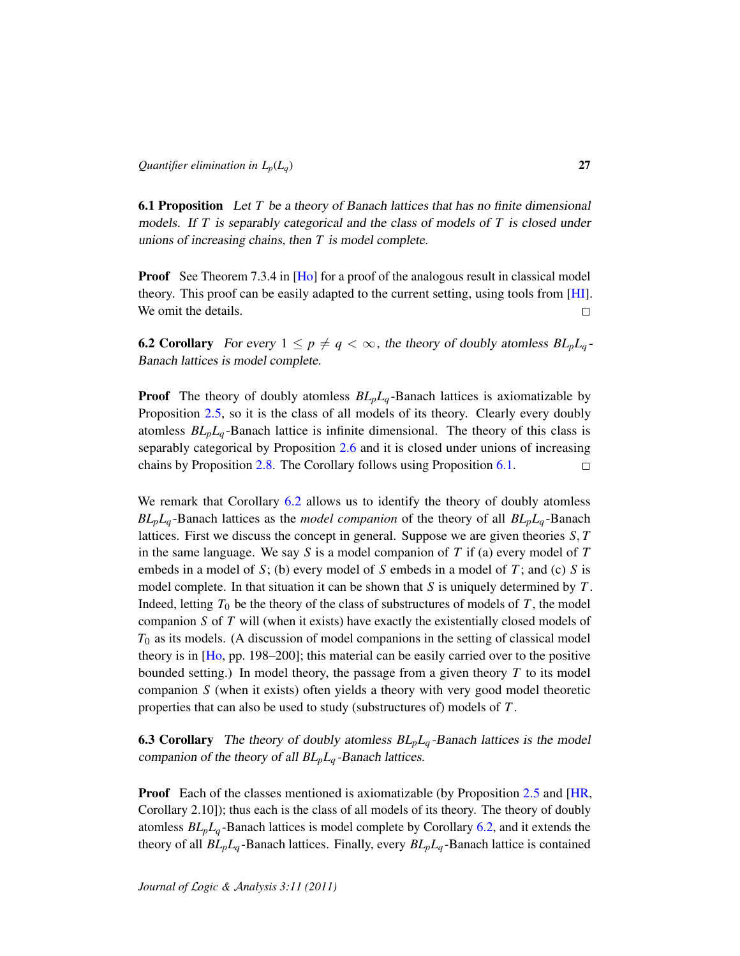<span id="page-26-0"></span>6.1 Proposition Let *T* be a theory of Banach lattices that has no finite dimensional models. If *T* is separably categorical and the class of models of *T* is closed under unions of increasing chains, then *T* is model complete.

**Proof** See Theorem 7.3.4 in [\[Ho\]](#page-28-15) for a proof of the analogous result in classical model theory. This proof can be easily adapted to the current setting, using tools from [\[HI\]](#page-28-2). We omit the details.  $\Box$ 

<span id="page-26-1"></span>**6.2 Corollary** For every  $1 \leq p \neq q < \infty$ , the theory of doubly atomless  $BL_pL_q$ -Banach lattices is model complete.

**Proof** The theory of doubly atomless  $BL_pL_q$ -Banach lattices is axiomatizable by Proposition [2.5,](#page-8-0) so it is the class of all models of its theory. Clearly every doubly atomless  $BL_pL_q$ -Banach lattice is infinite dimensional. The theory of this class is separably categorical by Proposition [2.6](#page-10-0) and it is closed under unions of increasing chains by Proposition [2.8.](#page-12-0) The Corollary follows using Proposition [6.1.](#page-26-0)  $\Box$ 

We remark that Corollary [6.2](#page-26-1) allows us to identify the theory of doubly atomless *BLpL<sup>q</sup>* -Banach lattices as the *model companion* of the theory of all *BLpL<sup>q</sup>* -Banach lattices. First we discuss the concept in general. Suppose we are given theories *S*, *T* in the same language. We say *S* is a model companion of *T* if (a) every model of *T* embeds in a model of *S*; (b) every model of *S* embeds in a model of *T* ; and (c) *S* is model complete. In that situation it can be shown that *S* is uniquely determined by *T* . Indeed, letting  $T_0$  be the theory of the class of substructures of models of  $T$ , the model companion *S* of *T* will (when it exists) have exactly the existentially closed models of  $T_0$  as its models. (A discussion of model companions in the setting of classical model theory is in  $[H<sub>0</sub>, pp. 198–200]$ ; this material can be easily carried over to the positive bounded setting.) In model theory, the passage from a given theory  $T$  to its model companion *S* (when it exists) often yields a theory with very good model theoretic properties that can also be used to study (substructures of) models of *T* .

**6.3 Corollary** The theory of doubly atomless  $BL_pL_q$ -Banach lattices is the model companion of the theory of all *BLpL<sup>q</sup>* -Banach lattices.

**Proof** Each of the classes mentioned is axiomatizable (by Proposition [2.5](#page-8-0) and [\[HR,](#page-28-0) Corollary 2.10]); thus each is the class of all models of its theory. The theory of doubly atomless *BLpL<sup>q</sup>* -Banach lattices is model complete by Corollary [6.2,](#page-26-1) and it extends the theory of all *BLpL<sup>q</sup>* -Banach lattices. Finally, every *BLpL<sup>q</sup>* -Banach lattice is contained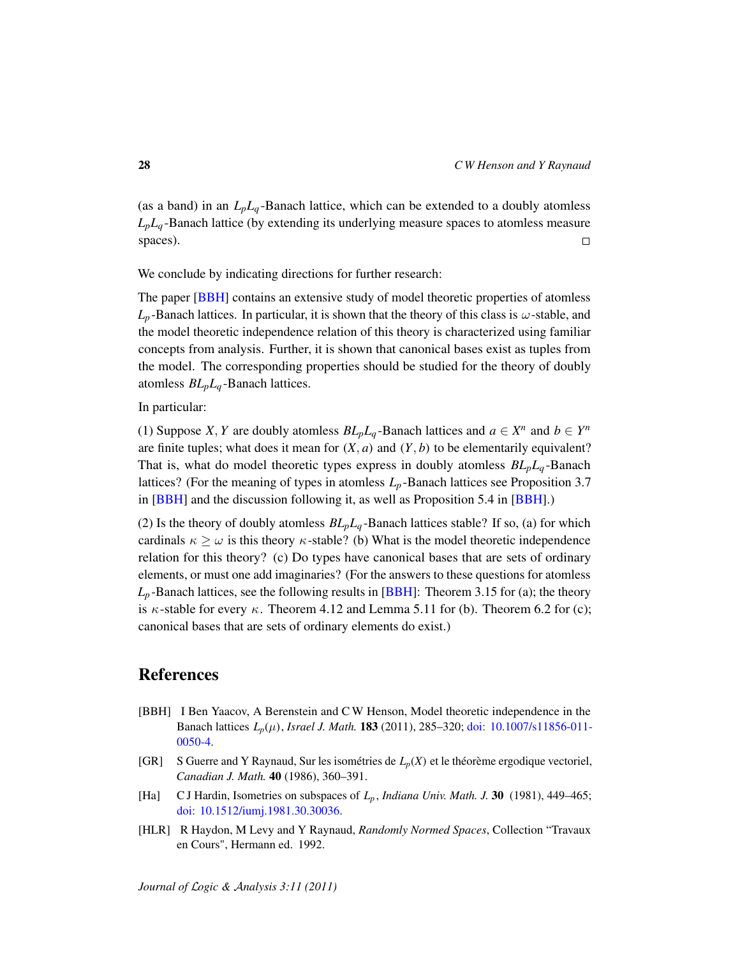(as a band) in an  $L_p L_q$ -Banach lattice, which can be extended to a doubly atomless  $L_p L_q$ -Banach lattice (by extending its underlying measure spaces to atomless measure spaces).  $\Box$ 

We conclude by indicating directions for further research:

The paper [\[BBH\]](#page-27-3) contains an extensive study of model theoretic properties of atomless  $L_p$ -Banach lattices. In particular, it is shown that the theory of this class is  $\omega$ -stable, and the model theoretic independence relation of this theory is characterized using familiar concepts from analysis. Further, it is shown that canonical bases exist as tuples from the model. The corresponding properties should be studied for the theory of doubly atomless *BLpL<sup>q</sup>* -Banach lattices.

In particular:

(1) Suppose *X*, *Y* are doubly atomless  $BL_pL_q$ -Banach lattices and  $a \in X^n$  and  $b \in Y^n$ are finite tuples; what does it mean for  $(X, a)$  and  $(Y, b)$  to be elementarily equivalent? That is, what do model theoretic types express in doubly atomless  $BL_pL_q$ -Banach lattices? (For the meaning of types in atomless  $L_p$ -Banach lattices see Proposition 3.7 in [\[BBH\]](#page-27-3) and the discussion following it, as well as Proposition 5.4 in [BBH].)

(2) Is the theory of doubly atomless  $BL_pL_q$ -Banach lattices stable? If so, (a) for which cardinals  $\kappa \geq \omega$  is this theory  $\kappa$ -stable? (b) What is the model theoretic independence relation for this theory? (c) Do types have canonical bases that are sets of ordinary elements, or must one add imaginaries? (For the answers to these questions for atomless  $L_p$ -Banach lattices, see the following results in [\[BBH\]](#page-27-3): Theorem 3.15 for (a); the theory is  $\kappa$ -stable for every  $\kappa$ . Theorem 4.12 and Lemma 5.11 for (b). Theorem 6.2 for (c); canonical bases that are sets of ordinary elements do exist.)

### References

- <span id="page-27-3"></span>[BBH] I Ben Yaacov, A Berenstein and C W Henson, Model theoretic independence in the Banach lattices *Lp*(µ), *Israel J. Math.* 183 (2011), 285–320; [doi: 10.1007/s11856-011-](http://dx.doi.org/10.1007/s11856-011-0050-4) [0050-4.](http://dx.doi.org/10.1007/s11856-011-0050-4)
- <span id="page-27-2"></span>[GR] S Guerre and Y Raynaud, Sur les isométries de  $L_p(X)$  et le théorème ergodique vectoriel, *Canadian J. Math.* 40 (1986), 360–391.
- <span id="page-27-1"></span>[Ha] C J Hardin, Isometries on subspaces of  $L_p$ , *Indiana Univ. Math. J.* 30 (1981), 449–465; [doi: 10.1512/iumj.1981.30.30036.](http://dx.doi.org/10.1512/iumj.1981.30.30036)
- <span id="page-27-0"></span>[HLR] R Haydon, M Levy and Y Raynaud, *Randomly Normed Spaces*, Collection "Travaux en Cours", Hermann ed. 1992.